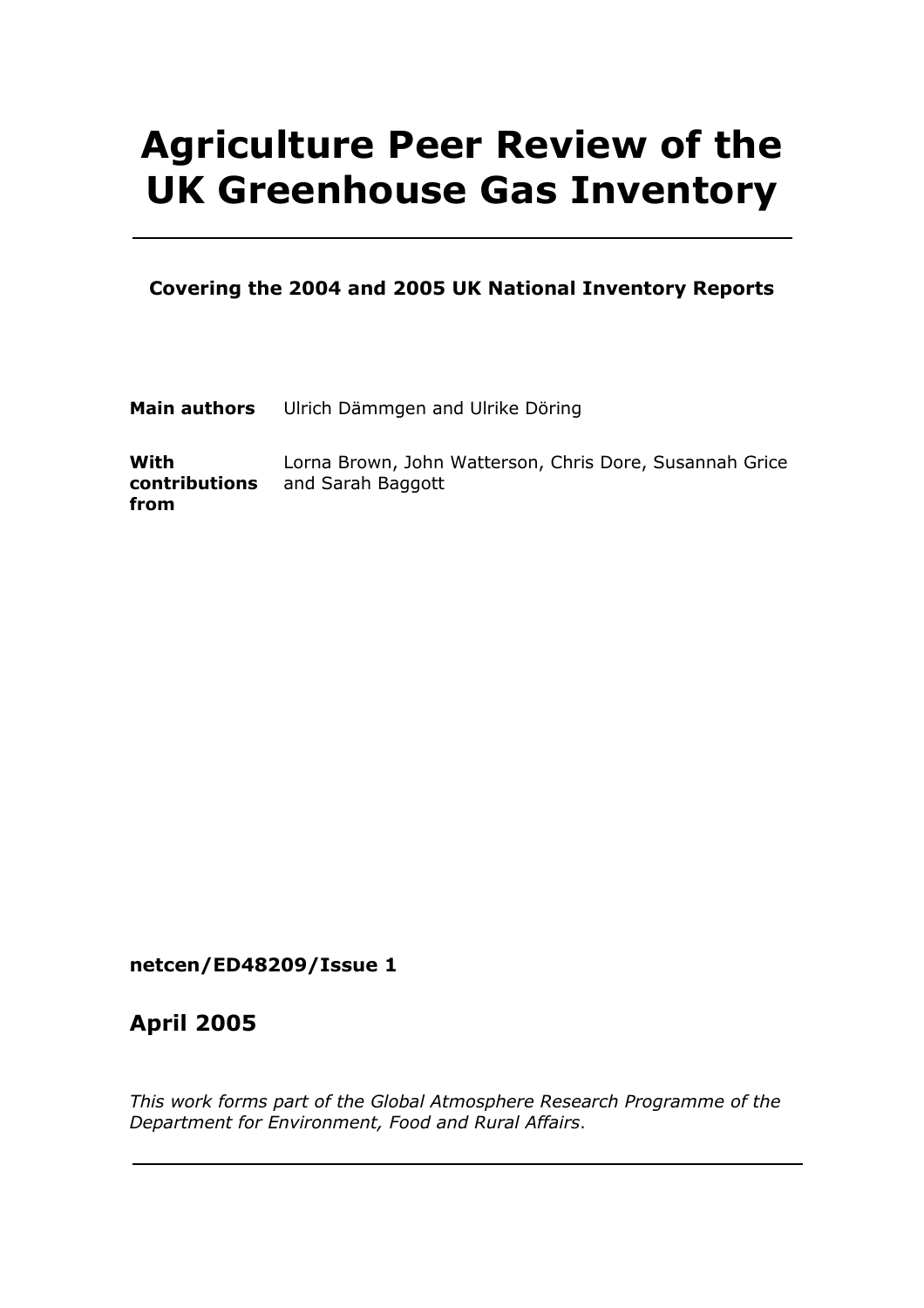# Agriculture Peer Review of the UK Greenhouse Gas Inventory

#### Covering the 2004 and 2005 UK National Inventory Reports

| Main authors Ulrich Dämmgen and Ulrike Döring |
|-----------------------------------------------|
|                                               |

With contributions and Sarah Baggott from Lorna Brown, John Watterson, Chris Dore, Susannah Grice

#### netcen/ED48209/Issue 1

### April 2005

This work forms part of the Global Atmosphere Research Programme of the Department for Environment, Food and Rural Affairs.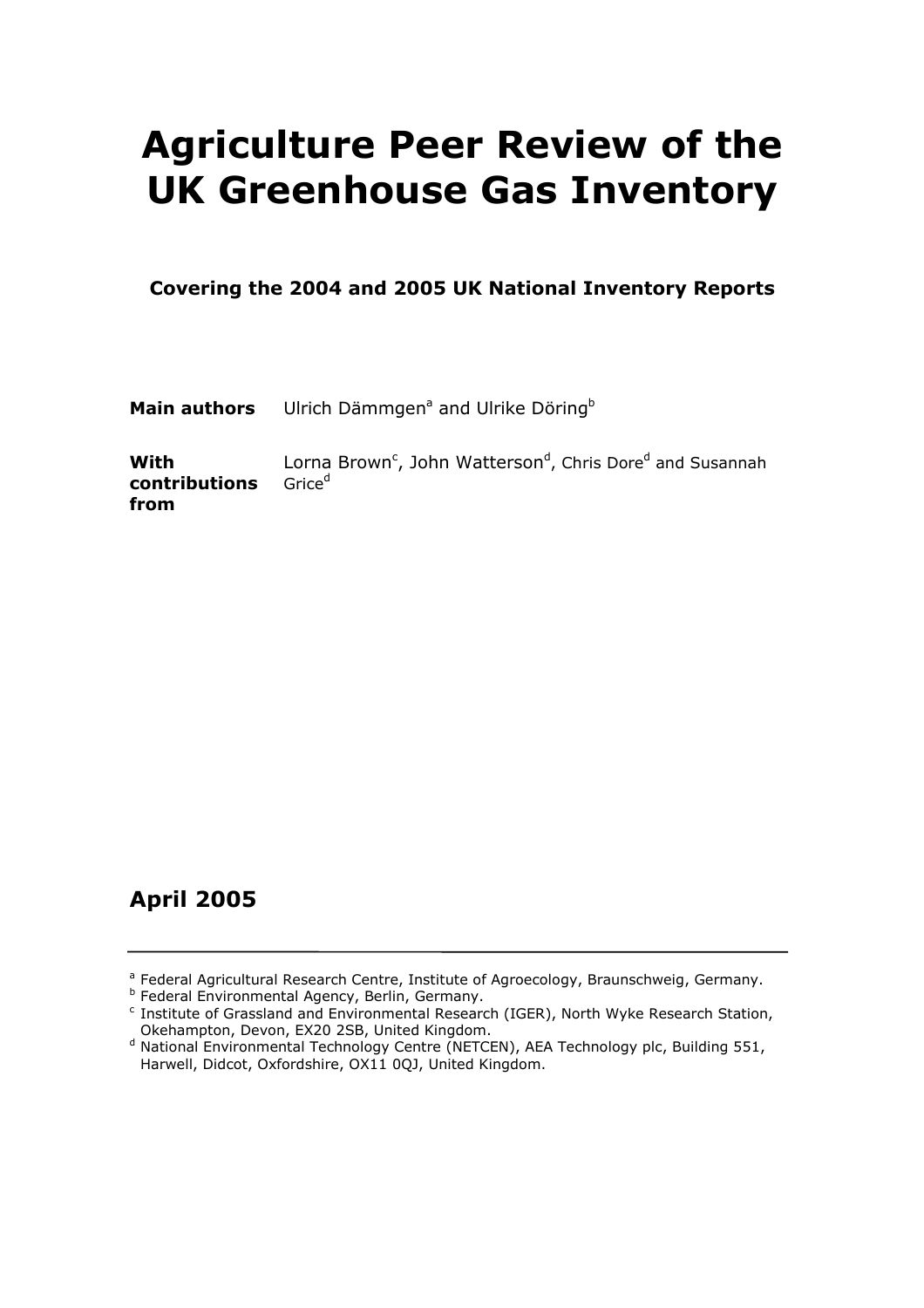## Agriculture Peer Review of the UK Greenhouse Gas Inventory

Covering the 2004 and 2005 UK National Inventory Reports

Main authors Ulrich Dämmgen<sup>a</sup> and Ulrike Döring<sup>b</sup>

With contributions from Lorna Brown<sup>c</sup>, John Watterson<sup>d</sup>, Chris Dore<sup>d</sup> and Susannah Grice<sup>d</sup>

## April 2005

<sup>b</sup> Federal Environmental Agency, Berlin, Germany.

<sup>&</sup>lt;sup>a</sup> Federal Agricultural Research Centre, Institute of Agroecology, Braunschweig, Germany.

<sup>&</sup>lt;sup>c</sup> Institute of Grassland and Environmental Research (IGER), North Wyke Research Station, Okehampton, Devon, EX20 2SB, United Kingdom.

<sup>&</sup>lt;sup>d</sup> National Environmental Technology Centre (NETCEN), AEA Technology plc, Building 551, Harwell, Didcot, Oxfordshire, OX11 0QJ, United Kingdom.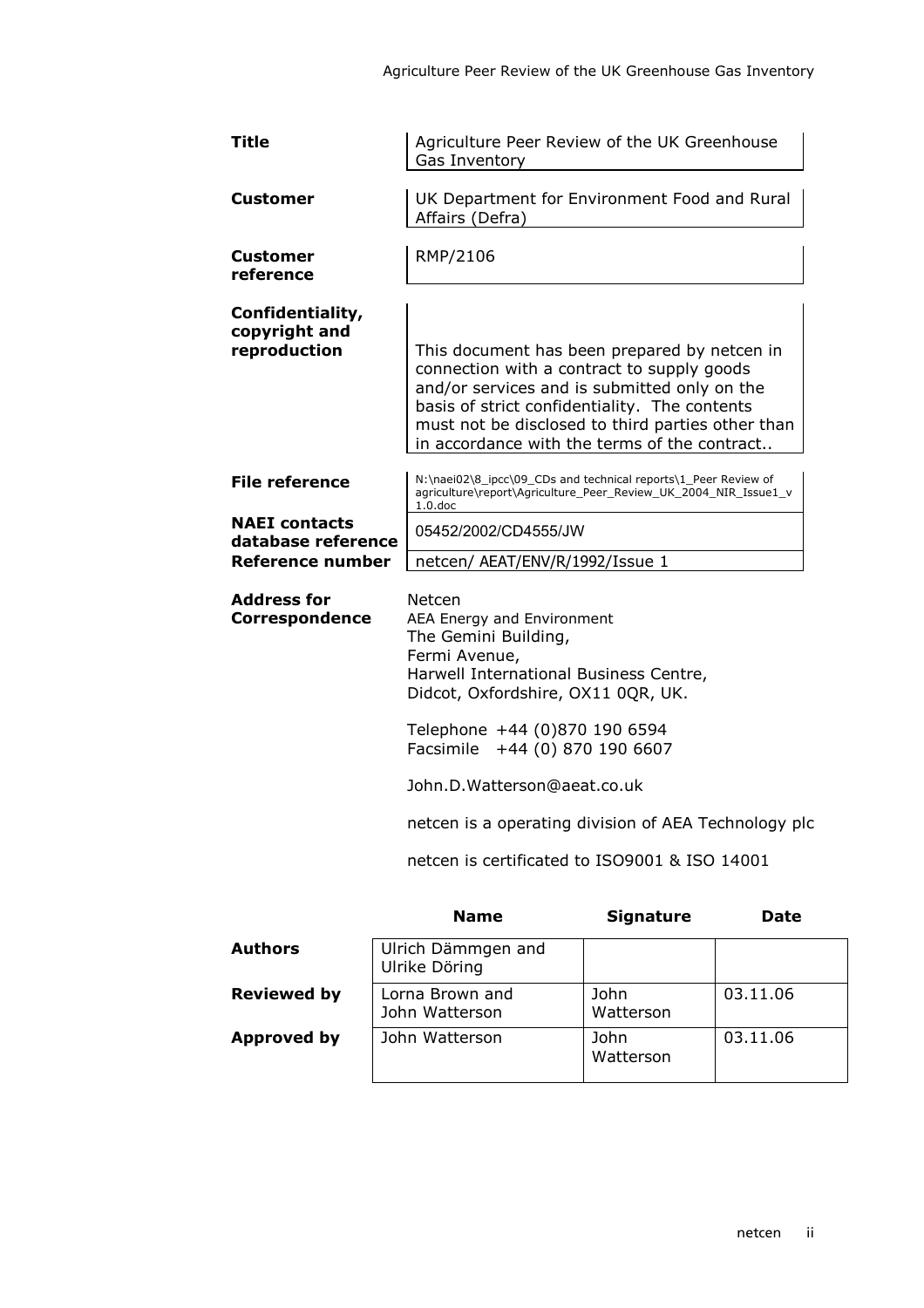| Title                                                          | Agriculture Peer Review of the UK Greenhouse<br>Gas Inventory                                                                                                                                                                                                                                    |                                                                                                                                                                                                                                                                                                                       |             |  |
|----------------------------------------------------------------|--------------------------------------------------------------------------------------------------------------------------------------------------------------------------------------------------------------------------------------------------------------------------------------------------|-----------------------------------------------------------------------------------------------------------------------------------------------------------------------------------------------------------------------------------------------------------------------------------------------------------------------|-------------|--|
| Customer                                                       | Affairs (Defra)                                                                                                                                                                                                                                                                                  | UK Department for Environment Food and Rural                                                                                                                                                                                                                                                                          |             |  |
| <b>Customer</b><br>reference                                   | RMP/2106                                                                                                                                                                                                                                                                                         |                                                                                                                                                                                                                                                                                                                       |             |  |
| Confidentiality,<br>copyright and<br>reproduction              | This document has been prepared by netcen in<br>connection with a contract to supply goods<br>and/or services and is submitted only on the<br>basis of strict confidentiality. The contents<br>must not be disclosed to third parties other than<br>in accordance with the terms of the contract |                                                                                                                                                                                                                                                                                                                       |             |  |
| <b>File reference</b>                                          | $1.0$ .doc                                                                                                                                                                                                                                                                                       | N:\naei02\8_ipcc\09_CDs and technical reports\1_Peer Review of<br>agriculture\report\Agriculture_Peer_Review_UK_2004_NIR_Issue1_v                                                                                                                                                                                     |             |  |
| <b>NAEI</b> contacts<br>database reference<br>Reference number |                                                                                                                                                                                                                                                                                                  | 05452/2002/CD4555/JW<br>netcen/ AEAT/ENV/R/1992/Issue 1                                                                                                                                                                                                                                                               |             |  |
| <b>Address for</b><br><b>Correspondence</b>                    | Netcen<br>The Gemini Building,<br>Fermi Avenue,                                                                                                                                                                                                                                                  | AEA Energy and Environment<br>Harwell International Business Centre,<br>Didcot, Oxfordshire, OX11 0QR, UK.<br>Telephone +44 (0)870 190 6594<br>Facsimile +44 (0) 870 190 6607<br>John.D.Watterson@aeat.co.uk<br>netcen is a operating division of AEA Technology plc<br>netcen is certificated to ISO9001 & ISO 14001 |             |  |
|                                                                | <b>Name</b>                                                                                                                                                                                                                                                                                      | <b>Signature</b>                                                                                                                                                                                                                                                                                                      | <b>Date</b> |  |
| <b>Authors</b>                                                 | Ulrich Dämmgen and<br>Ulrike Döring                                                                                                                                                                                                                                                              |                                                                                                                                                                                                                                                                                                                       |             |  |

| Reviewed by | Lorna Brown and<br>John Watterson | - John<br>Watterson |
|-------------|-----------------------------------|---------------------|
| Approved by | John Watterson                    | John<br>Watterson   |

03.11.06

03.11.06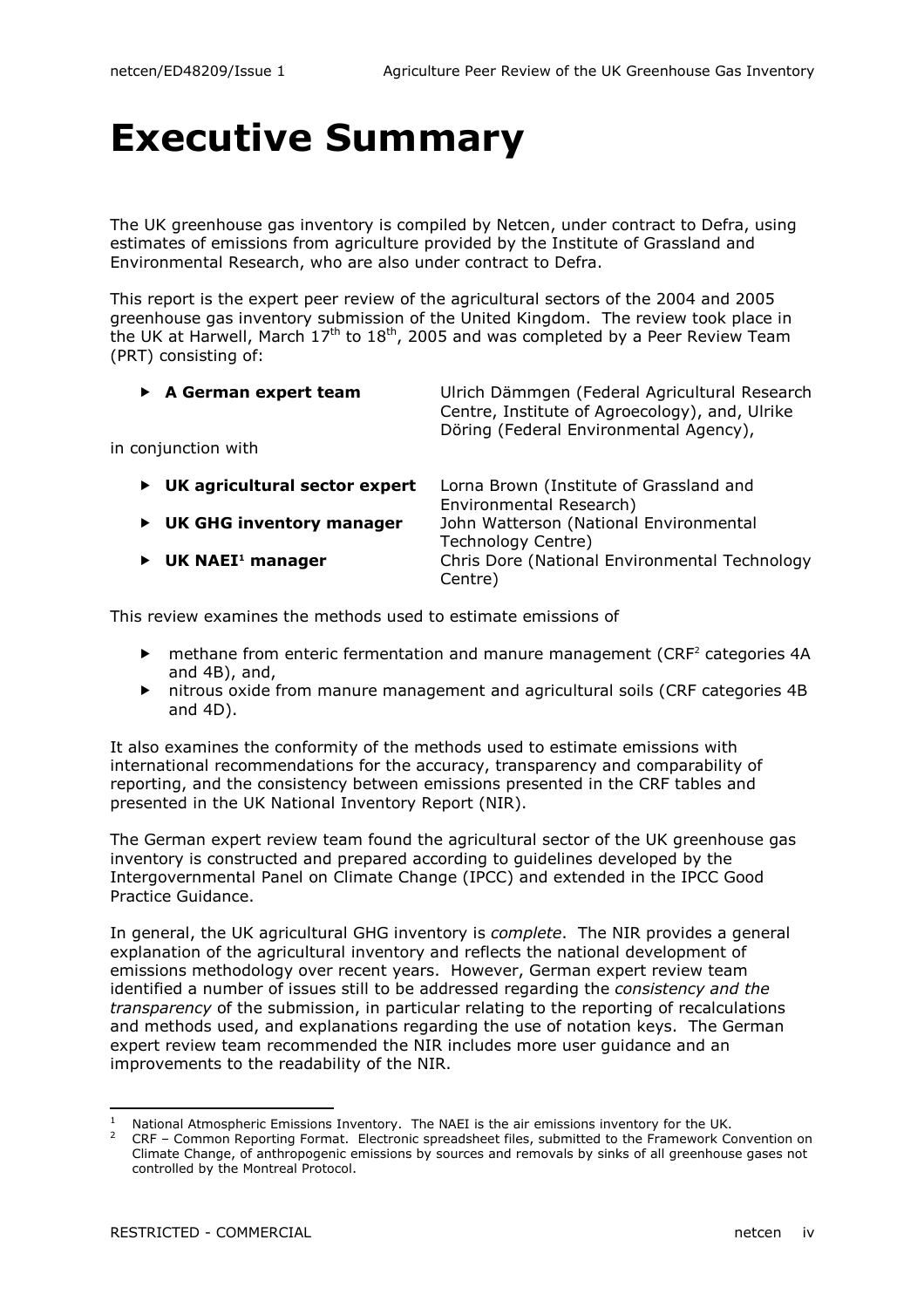## Executive Summary

The UK greenhouse gas inventory is compiled by Netcen, under contract to Defra, using estimates of emissions from agriculture provided by the Institute of Grassland and Environmental Research, who are also under contract to Defra.

This report is the expert peer review of the agricultural sectors of the 2004 and 2005 greenhouse gas inventory submission of the United Kingdom. The review took place in the UK at Harwell, March  $17<sup>th</sup>$  to  $18<sup>th</sup>$ , 2005 and was completed by a Peer Review Team (PRT) consisting of:

| $\triangleright$ A German expert team<br>in conjunction with | Ulrich Dämmgen (Federal Agricultural Research<br>Centre, Institute of Agroecology), and, Ulrike<br>Döring (Federal Environmental Agency), |
|--------------------------------------------------------------|-------------------------------------------------------------------------------------------------------------------------------------------|
| UK agricultural sector expert                                | Lorna Brown (Institute of Grassland and                                                                                                   |
| ▶                                                            | Environmental Research)                                                                                                                   |
| <b>UK GHG inventory manager</b>                              | John Watterson (National Environmental                                                                                                    |
| ▶                                                            | Technology Centre)                                                                                                                        |
| UK NAEI <sup>1</sup> manager                                 | Chris Dore (National Environmental Technology                                                                                             |
| ▶                                                            | Centre)                                                                                                                                   |

This review examines the methods used to estimate emissions of

- ▶ methane from enteric fermentation and manure management (CRF<sup>2</sup> categories 4A and 4B), and,
- nitrous oxide from manure management and agricultural soils (CRF categories 4B and 4D).

It also examines the conformity of the methods used to estimate emissions with international recommendations for the accuracy, transparency and comparability of reporting, and the consistency between emissions presented in the CRF tables and presented in the UK National Inventory Report (NIR).

The German expert review team found the agricultural sector of the UK greenhouse gas inventory is constructed and prepared according to guidelines developed by the Intergovernmental Panel on Climate Change (IPCC) and extended in the IPCC Good Practice Guidance.

In general, the UK agricultural GHG inventory is *complete*. The NIR provides a general explanation of the agricultural inventory and reflects the national development of emissions methodology over recent years. However, German expert review team identified a number of issues still to be addressed regarding the consistency and the transparency of the submission, in particular relating to the reporting of recalculations and methods used, and explanations regarding the use of notation keys. The German expert review team recommended the NIR includes more user guidance and an improvements to the readability of the NIR.

 1 National Atmospheric Emissions Inventory. The NAEI is the air emissions inventory for the UK.

<sup>2</sup>CRF – Common Reporting Format. Electronic spreadsheet files, submitted to the Framework Convention on Climate Change, of anthropogenic emissions by sources and removals by sinks of all greenhouse gases not controlled by the Montreal Protocol.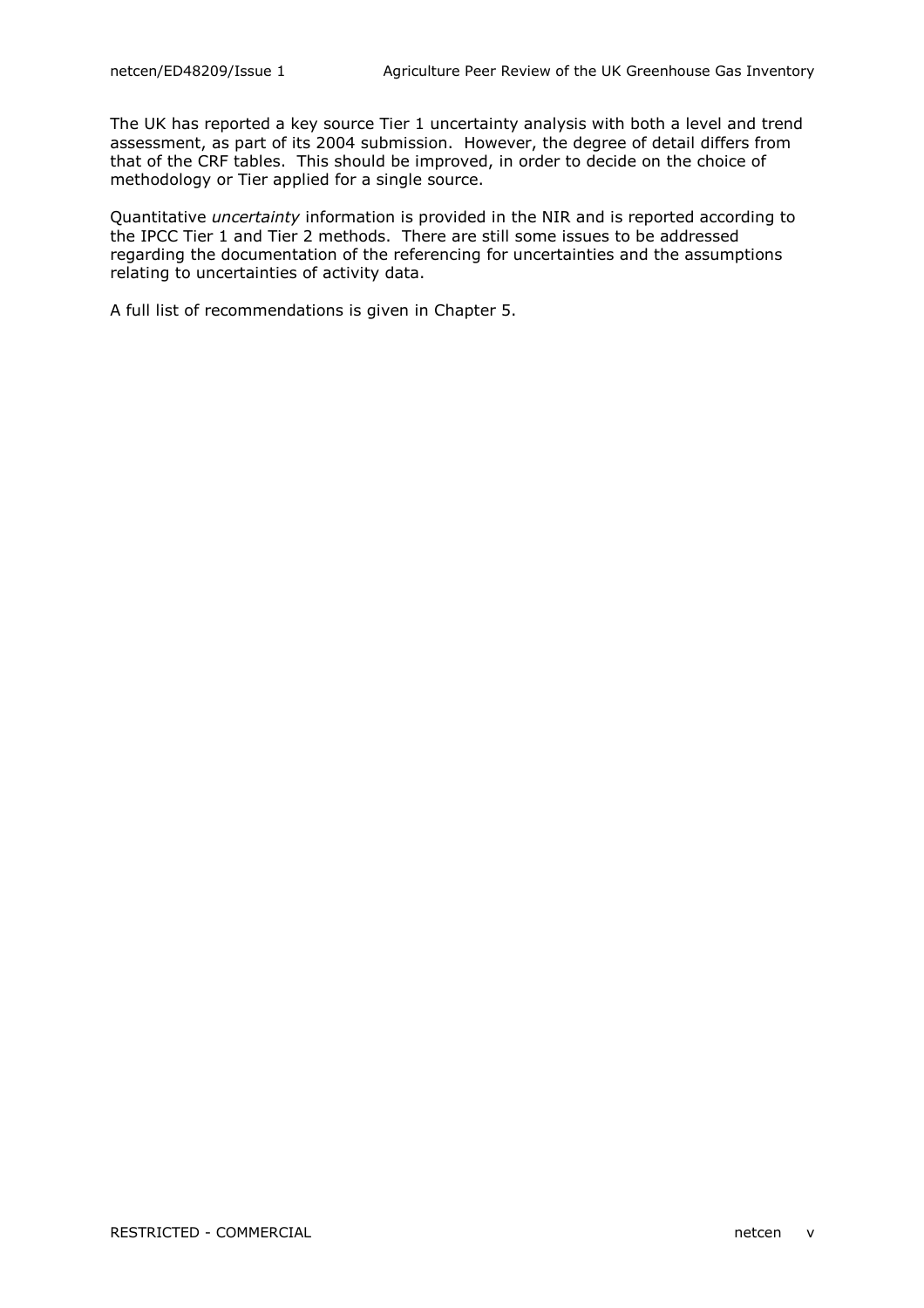The UK has reported a key source Tier 1 uncertainty analysis with both a level and trend assessment, as part of its 2004 submission. However, the degree of detail differs from that of the CRF tables. This should be improved, in order to decide on the choice of methodology or Tier applied for a single source.

Quantitative uncertainty information is provided in the NIR and is reported according to the IPCC Tier 1 and Tier 2 methods. There are still some issues to be addressed regarding the documentation of the referencing for uncertainties and the assumptions relating to uncertainties of activity data.

A full list of recommendations is given in Chapter 5.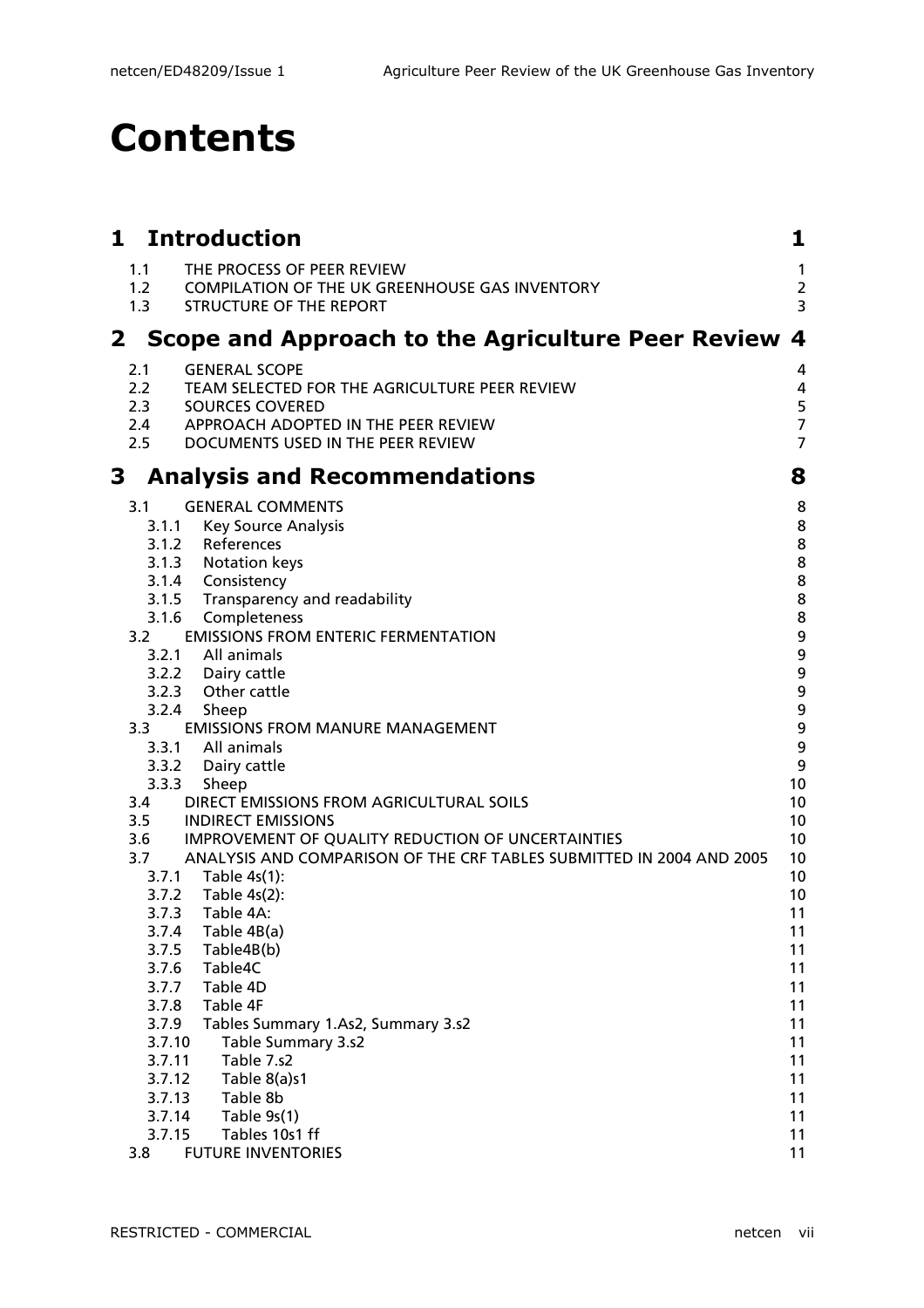## Contents

| 1            |                   | <b>Introduction</b>                                                                                                   | 1                                    |
|--------------|-------------------|-----------------------------------------------------------------------------------------------------------------------|--------------------------------------|
|              | 1.1<br>1.2<br>1.3 | THE PROCESS OF PEER REVIEW<br><b>COMPILATION OF THE UK GREENHOUSE GAS INVENTORY</b><br><b>STRUCTURE OF THE REPORT</b> | $\mathbf{1}$<br>$\overline{2}$<br>3  |
| $\mathbf{2}$ |                   | <b>Scope and Approach to the Agriculture Peer Review</b>                                                              | $\overline{\mathbf{4}}$              |
|              | 2.1               | <b>GENERAL SCOPE</b>                                                                                                  | 4                                    |
|              | $2.2^{\circ}$     | TEAM SELECTED FOR THE AGRICULTURE PEER REVIEW                                                                         | 4                                    |
|              | 2.3<br>2.4        | <b>SOURCES COVERED</b><br>APPROACH ADOPTED IN THE PEER REVIEW                                                         | 5<br>$\overline{7}$                  |
|              | 2.5               | DOCUMENTS USED IN THE PEER REVIEW                                                                                     | $\overline{7}$                       |
| 3            |                   | <b>Analysis and Recommendations</b>                                                                                   | 8                                    |
|              | 3.1               | <b>GENERAL COMMENTS</b>                                                                                               | 8                                    |
|              | 3.1.1             | <b>Key Source Analysis</b>                                                                                            | 8                                    |
|              | 3.1.2             | References                                                                                                            | 8                                    |
|              | 3.1.3             | <b>Notation keys</b>                                                                                                  | 8                                    |
|              |                   | 3.1.4 Consistency                                                                                                     | 8                                    |
|              | 3.1.5             | Transparency and readability                                                                                          | 8                                    |
|              | 3.1.6             | Completeness                                                                                                          | 8                                    |
|              | 3.2               | <b>EMISSIONS FROM ENTERIC FERMENTATION</b>                                                                            | $\boldsymbol{9}$<br>$\boldsymbol{9}$ |
|              |                   | 3.2.1 All animals<br>3.2.2 Dairy cattle                                                                               | $\boldsymbol{9}$                     |
|              |                   | 3.2.3 Other cattle                                                                                                    | $\boldsymbol{9}$                     |
|              | 3.2.4             | Sheep                                                                                                                 | $\boldsymbol{9}$                     |
|              | 3.3               | <b>EMISSIONS FROM MANURE MANAGEMENT</b>                                                                               | $\boldsymbol{9}$                     |
|              |                   | 3.3.1 All animals                                                                                                     | 9                                    |
|              | 3.3.2             | Dairy cattle                                                                                                          | 9                                    |
|              | 3.3.3             | Sheep                                                                                                                 | 10                                   |
|              | 3.4               | DIRECT EMISSIONS FROM AGRICULTURAL SOILS                                                                              | 10                                   |
|              | 3.5               | <b>INDIRECT EMISSIONS</b>                                                                                             | 10                                   |
|              | 3.6               | IMPROVEMENT OF QUALITY REDUCTION OF UNCERTAINTIES                                                                     | 10                                   |
|              | 3.7               | ANALYSIS AND COMPARISON OF THE CRF TABLES SUBMITTED IN 2004 AND 2005                                                  | 10                                   |
|              |                   | 3.7.1 Table 4s(1):                                                                                                    | 10                                   |
|              |                   | 3.7.2 Table 4s(2):                                                                                                    | 10                                   |
|              | 3.7.3             | Table 4A:                                                                                                             | 11                                   |
|              | 3.7.4             | Table 4B(a)                                                                                                           | 11                                   |
|              | 3.7.5             | Table4B(b)                                                                                                            | 11                                   |
|              | 3.7.6             | Table4C                                                                                                               | 11                                   |
|              | 3.7.7<br>3.7.8    | Table 4D<br>Table 4F                                                                                                  | 11<br>11                             |
|              | 3.7.9             | Tables Summary 1.As2, Summary 3.s2                                                                                    | 11                                   |
|              | 3.7.10            | Table Summary 3.s2                                                                                                    | 11                                   |
|              | 3.7.11            | Table 7.s2                                                                                                            | 11                                   |
|              | 3.7.12            | Table 8(a)s1                                                                                                          | 11                                   |
|              | 3.7.13            | Table 8b                                                                                                              | 11                                   |
|              | 3.7.14            | Table 9s(1)                                                                                                           | 11                                   |
|              | 3.7.15            | Tables 10s1 ff                                                                                                        | 11                                   |
|              | 3.8               | <b>FUTURE INVENTORIES</b>                                                                                             | 11                                   |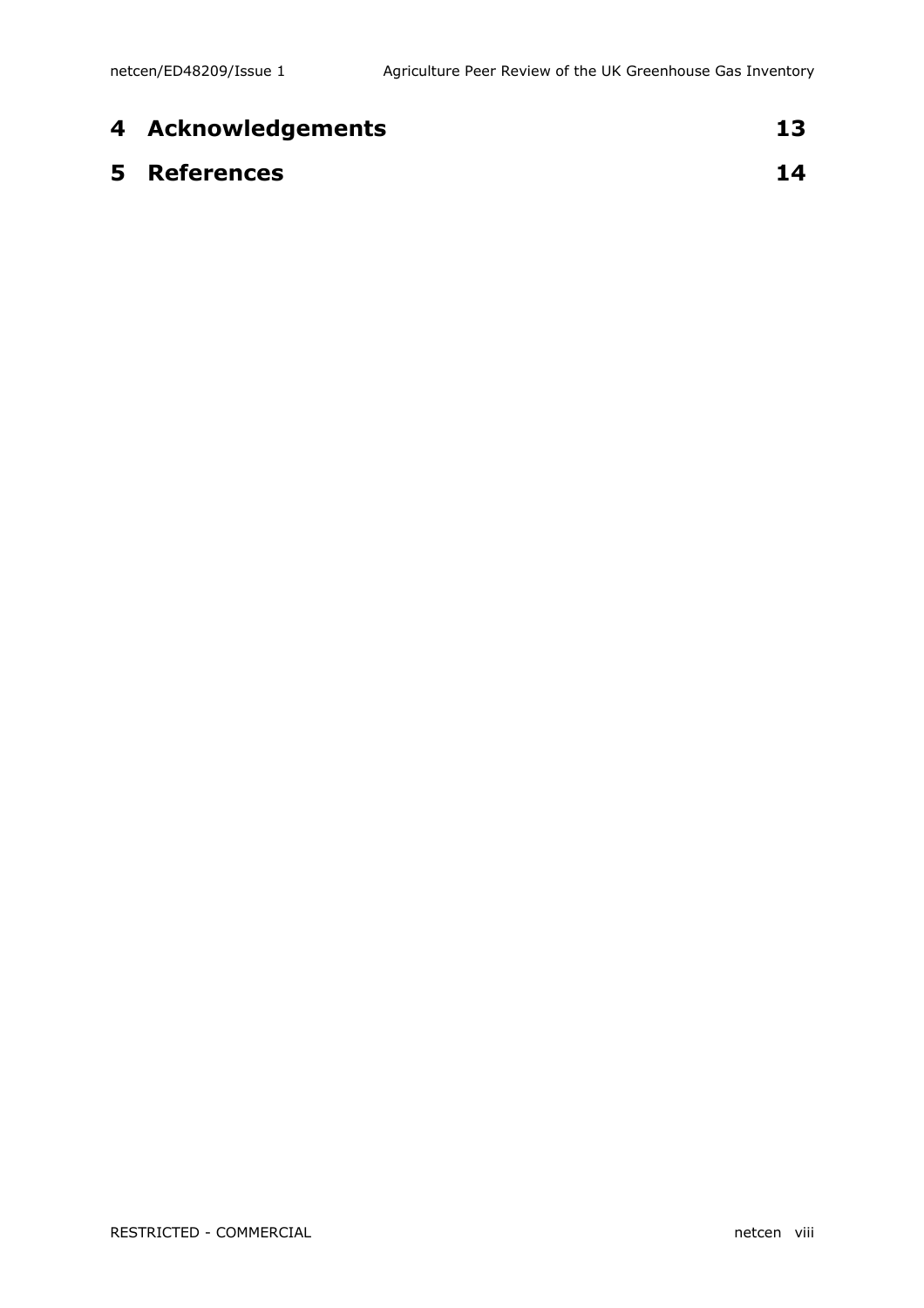| 4 Acknowledgements  | 13 |
|---------------------|----|
| <b>5</b> References | 14 |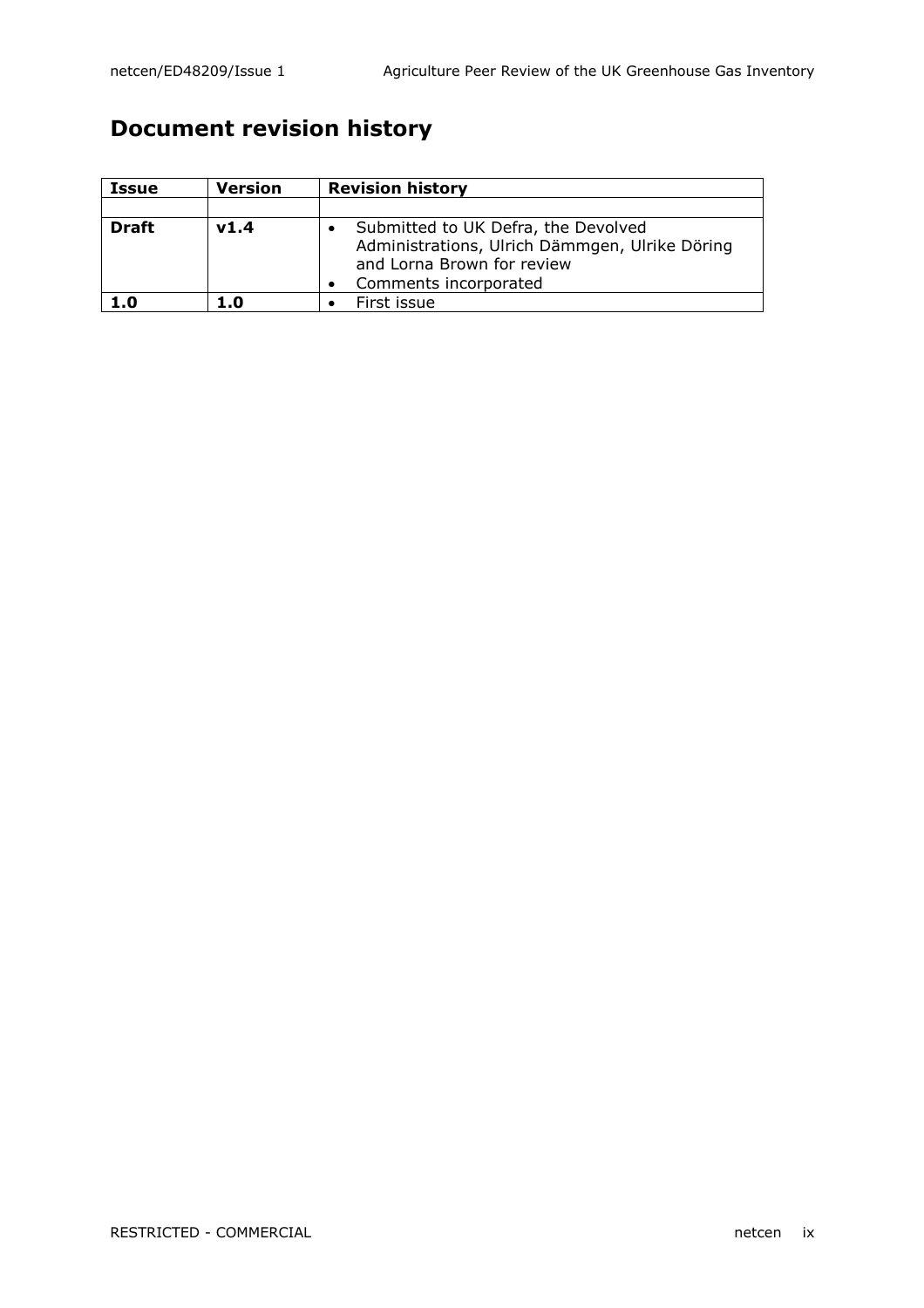## Document revision history

| <b>Issue</b> | <b>Version</b> | <b>Revision history</b>                                                                                                                      |
|--------------|----------------|----------------------------------------------------------------------------------------------------------------------------------------------|
|              |                |                                                                                                                                              |
| <b>Draft</b> | V1.4           | Submitted to UK Defra, the Devolved<br>Administrations, Ulrich Dämmgen, Ulrike Döring<br>and Lorna Brown for review<br>Comments incorporated |
| 1.0          | 1.0            | First issue                                                                                                                                  |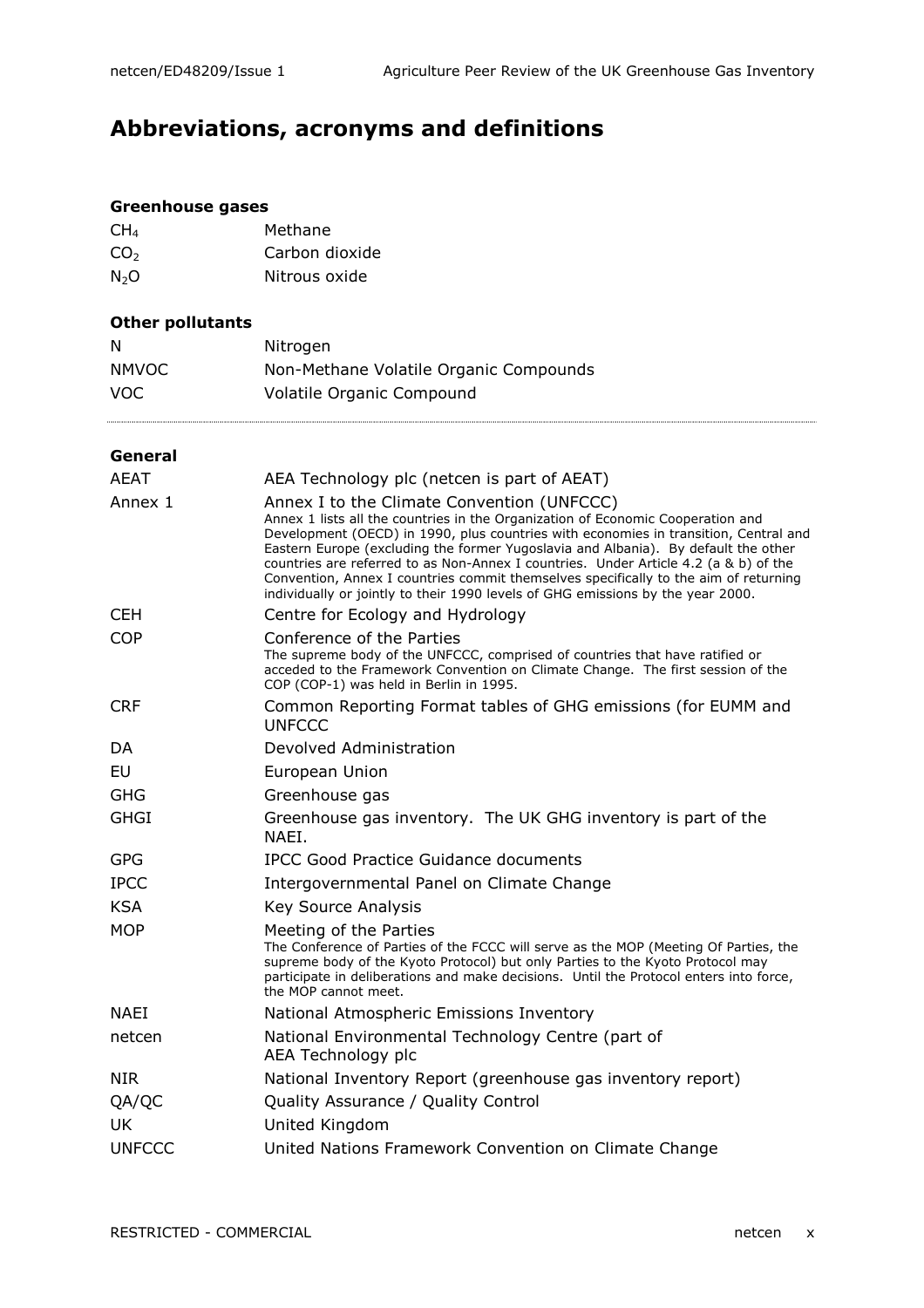## Abbreviations, acronyms and definitions

#### Greenhouse gases

| Methane        |
|----------------|
| Carbon dioxide |
| Nitrous oxide  |
|                |

#### Other pollutants

| N            | Nitrogen                               |
|--------------|----------------------------------------|
| <b>NMVOC</b> | Non-Methane Volatile Organic Compounds |
| VOC.         | Volatile Organic Compound              |

#### General

| <b>AEAT</b>   | AEA Technology plc (netcen is part of AEAT)                                                                                                                                                                                                                                                                                                                                                                                                                                                                                                                                    |  |
|---------------|--------------------------------------------------------------------------------------------------------------------------------------------------------------------------------------------------------------------------------------------------------------------------------------------------------------------------------------------------------------------------------------------------------------------------------------------------------------------------------------------------------------------------------------------------------------------------------|--|
| Annex 1       | Annex I to the Climate Convention (UNFCCC)<br>Annex 1 lists all the countries in the Organization of Economic Cooperation and<br>Development (OECD) in 1990, plus countries with economies in transition, Central and<br>Eastern Europe (excluding the former Yugoslavia and Albania). By default the other<br>countries are referred to as Non-Annex I countries. Under Article 4.2 (a & b) of the<br>Convention, Annex I countries commit themselves specifically to the aim of returning<br>individually or jointly to their 1990 levels of GHG emissions by the year 2000. |  |
| <b>CEH</b>    | Centre for Ecology and Hydrology                                                                                                                                                                                                                                                                                                                                                                                                                                                                                                                                               |  |
| <b>COP</b>    | Conference of the Parties<br>The supreme body of the UNFCCC, comprised of countries that have ratified or<br>acceded to the Framework Convention on Climate Change. The first session of the<br>COP (COP-1) was held in Berlin in 1995.                                                                                                                                                                                                                                                                                                                                        |  |
| <b>CRF</b>    | Common Reporting Format tables of GHG emissions (for EUMM and<br><b>UNFCCC</b>                                                                                                                                                                                                                                                                                                                                                                                                                                                                                                 |  |
| DA            | Devolved Administration                                                                                                                                                                                                                                                                                                                                                                                                                                                                                                                                                        |  |
| EU            | European Union                                                                                                                                                                                                                                                                                                                                                                                                                                                                                                                                                                 |  |
| <b>GHG</b>    | Greenhouse gas                                                                                                                                                                                                                                                                                                                                                                                                                                                                                                                                                                 |  |
| <b>GHGI</b>   | Greenhouse gas inventory. The UK GHG inventory is part of the<br>NAEI.                                                                                                                                                                                                                                                                                                                                                                                                                                                                                                         |  |
| <b>GPG</b>    | IPCC Good Practice Guidance documents                                                                                                                                                                                                                                                                                                                                                                                                                                                                                                                                          |  |
| <b>IPCC</b>   | Intergovernmental Panel on Climate Change                                                                                                                                                                                                                                                                                                                                                                                                                                                                                                                                      |  |
| <b>KSA</b>    | <b>Key Source Analysis</b>                                                                                                                                                                                                                                                                                                                                                                                                                                                                                                                                                     |  |
| <b>MOP</b>    | Meeting of the Parties<br>The Conference of Parties of the FCCC will serve as the MOP (Meeting Of Parties, the<br>supreme body of the Kyoto Protocol) but only Parties to the Kyoto Protocol may<br>participate in deliberations and make decisions. Until the Protocol enters into force,<br>the MOP cannot meet.                                                                                                                                                                                                                                                             |  |
| <b>NAFI</b>   | National Atmospheric Emissions Inventory                                                                                                                                                                                                                                                                                                                                                                                                                                                                                                                                       |  |
| netcen        | National Environmental Technology Centre (part of<br>AEA Technology plc                                                                                                                                                                                                                                                                                                                                                                                                                                                                                                        |  |
| <b>NIR</b>    | National Inventory Report (greenhouse gas inventory report)                                                                                                                                                                                                                                                                                                                                                                                                                                                                                                                    |  |
| QA/QC         | Quality Assurance / Quality Control                                                                                                                                                                                                                                                                                                                                                                                                                                                                                                                                            |  |
| <b>UK</b>     | United Kingdom                                                                                                                                                                                                                                                                                                                                                                                                                                                                                                                                                                 |  |
| <b>UNFCCC</b> | United Nations Framework Convention on Climate Change                                                                                                                                                                                                                                                                                                                                                                                                                                                                                                                          |  |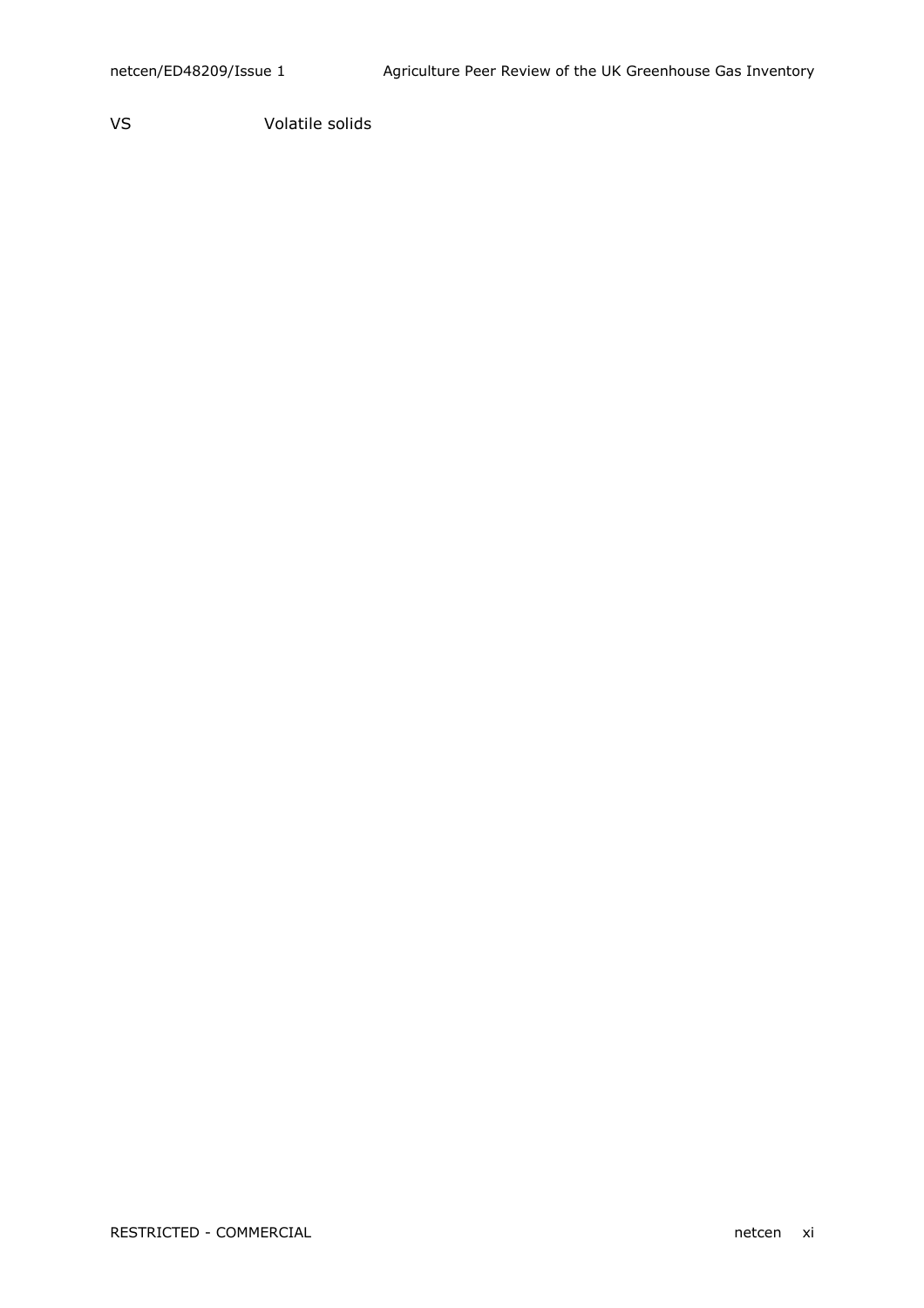VS Volatile solids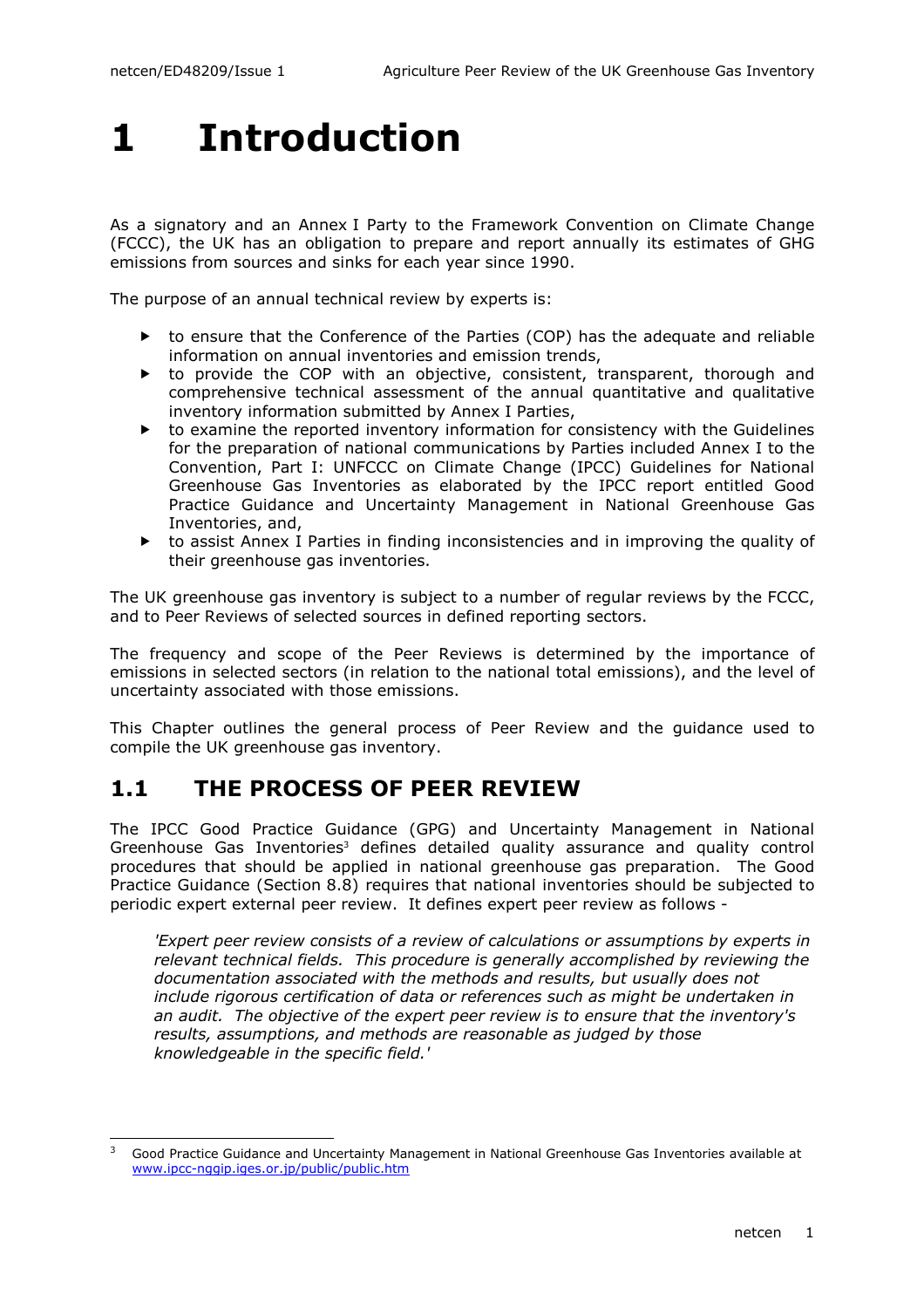i,

# 1 Introduction

As a signatory and an Annex I Party to the Framework Convention on Climate Change (FCCC), the UK has an obligation to prepare and report annually its estimates of GHG emissions from sources and sinks for each year since 1990.

The purpose of an annual technical review by experts is:

- $\triangleright$  to ensure that the Conference of the Parties (COP) has the adequate and reliable information on annual inventories and emission trends,
- ▶ to provide the COP with an objective, consistent, transparent, thorough and comprehensive technical assessment of the annual quantitative and qualitative inventory information submitted by Annex I Parties,
- ▶ to examine the reported inventory information for consistency with the Guidelines for the preparation of national communications by Parties included Annex I to the Convention, Part I: UNFCCC on Climate Change (IPCC) Guidelines for National Greenhouse Gas Inventories as elaborated by the IPCC report entitled Good Practice Guidance and Uncertainty Management in National Greenhouse Gas Inventories, and,
- to assist Annex I Parties in finding inconsistencies and in improving the quality of their greenhouse gas inventories.

The UK greenhouse gas inventory is subject to a number of regular reviews by the FCCC, and to Peer Reviews of selected sources in defined reporting sectors.

The frequency and scope of the Peer Reviews is determined by the importance of emissions in selected sectors (in relation to the national total emissions), and the level of uncertainty associated with those emissions.

This Chapter outlines the general process of Peer Review and the guidance used to compile the UK greenhouse gas inventory.

### 1.1 THE PROCESS OF PEER REVIEW

The IPCC Good Practice Guidance (GPG) and Uncertainty Management in National Greenhouse Gas Inventories<sup>3</sup> defines detailed quality assurance and quality control procedures that should be applied in national greenhouse gas preparation. The Good Practice Guidance (Section 8.8) requires that national inventories should be subjected to periodic expert external peer review. It defines expert peer review as follows -

'Expert peer review consists of a review of calculations or assumptions by experts in relevant technical fields. This procedure is generally accomplished by reviewing the documentation associated with the methods and results, but usually does not include rigorous certification of data or references such as might be undertaken in an audit. The objective of the expert peer review is to ensure that the inventory's results, assumptions, and methods are reasonable as judged by those knowledgeable in the specific field.'

<sup>3</sup> Good Practice Guidance and Uncertainty Management in National Greenhouse Gas Inventories available at www.ipcc-nggip.iges.or.jp/public/public.htm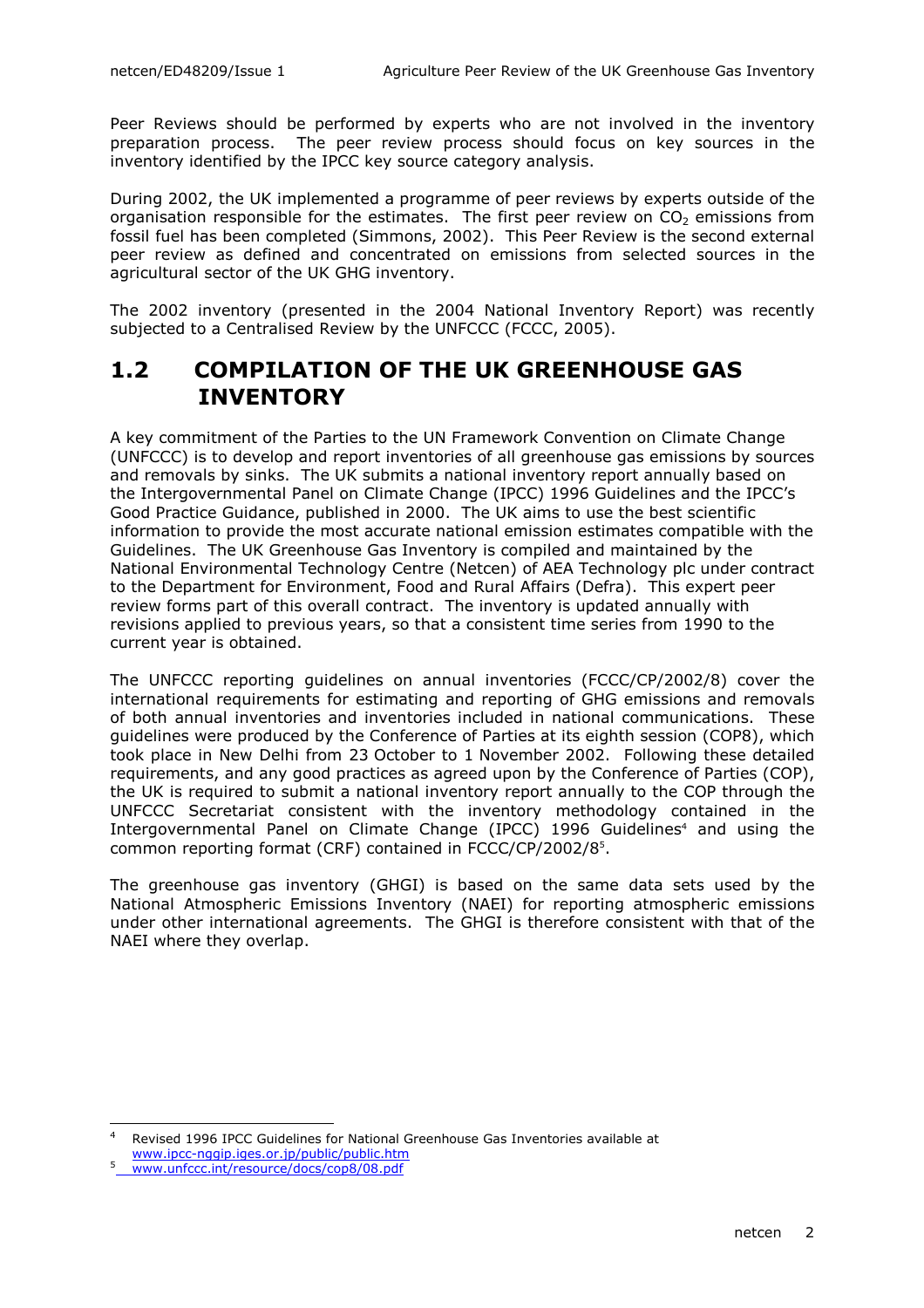Peer Reviews should be performed by experts who are not involved in the inventory preparation process. The peer review process should focus on key sources in the inventory identified by the IPCC key source category analysis.

During 2002, the UK implemented a programme of peer reviews by experts outside of the organisation responsible for the estimates. The first peer review on  $CO<sub>2</sub>$  emissions from fossil fuel has been completed (Simmons, 2002). This Peer Review is the second external peer review as defined and concentrated on emissions from selected sources in the agricultural sector of the UK GHG inventory.

The 2002 inventory (presented in the 2004 National Inventory Report) was recently subjected to a Centralised Review by the UNFCCC (FCCC, 2005).

### 1.2 COMPILATION OF THE UK GREENHOUSE GAS **INVENTORY**

A key commitment of the Parties to the UN Framework Convention on Climate Change (UNFCCC) is to develop and report inventories of all greenhouse gas emissions by sources and removals by sinks. The UK submits a national inventory report annually based on the Intergovernmental Panel on Climate Change (IPCC) 1996 Guidelines and the IPCC's Good Practice Guidance, published in 2000. The UK aims to use the best scientific information to provide the most accurate national emission estimates compatible with the Guidelines. The UK Greenhouse Gas Inventory is compiled and maintained by the National Environmental Technology Centre (Netcen) of AEA Technology plc under contract to the Department for Environment, Food and Rural Affairs (Defra). This expert peer review forms part of this overall contract. The inventory is updated annually with revisions applied to previous years, so that a consistent time series from 1990 to the current year is obtained.

The UNFCCC reporting guidelines on annual inventories (FCCC/CP/2002/8) cover the international requirements for estimating and reporting of GHG emissions and removals of both annual inventories and inventories included in national communications. These guidelines were produced by the Conference of Parties at its eighth session (COP8), which took place in New Delhi from 23 October to 1 November 2002. Following these detailed requirements, and any good practices as agreed upon by the Conference of Parties (COP), the UK is required to submit a national inventory report annually to the COP through the UNFCCC Secretariat consistent with the inventory methodology contained in the Intergovernmental Panel on Climate Change (IPCC) 1996 Guidelines<sup>4</sup> and using the common reporting format (CRF) contained in FCCC/CP/2002/8<sup>5</sup> .

The greenhouse gas inventory (GHGI) is based on the same data sets used by the National Atmospheric Emissions Inventory (NAEI) for reporting atmospheric emissions under other international agreements. The GHGI is therefore consistent with that of the NAEI where they overlap.

 $\frac{1}{4}$  Revised 1996 IPCC Guidelines for National Greenhouse Gas Inventories available at www.ipcc-nggip.iges.or.jp/public/public.htm

<sup>5</sup> www.unfccc.int/resource/docs/cop8/08.pdf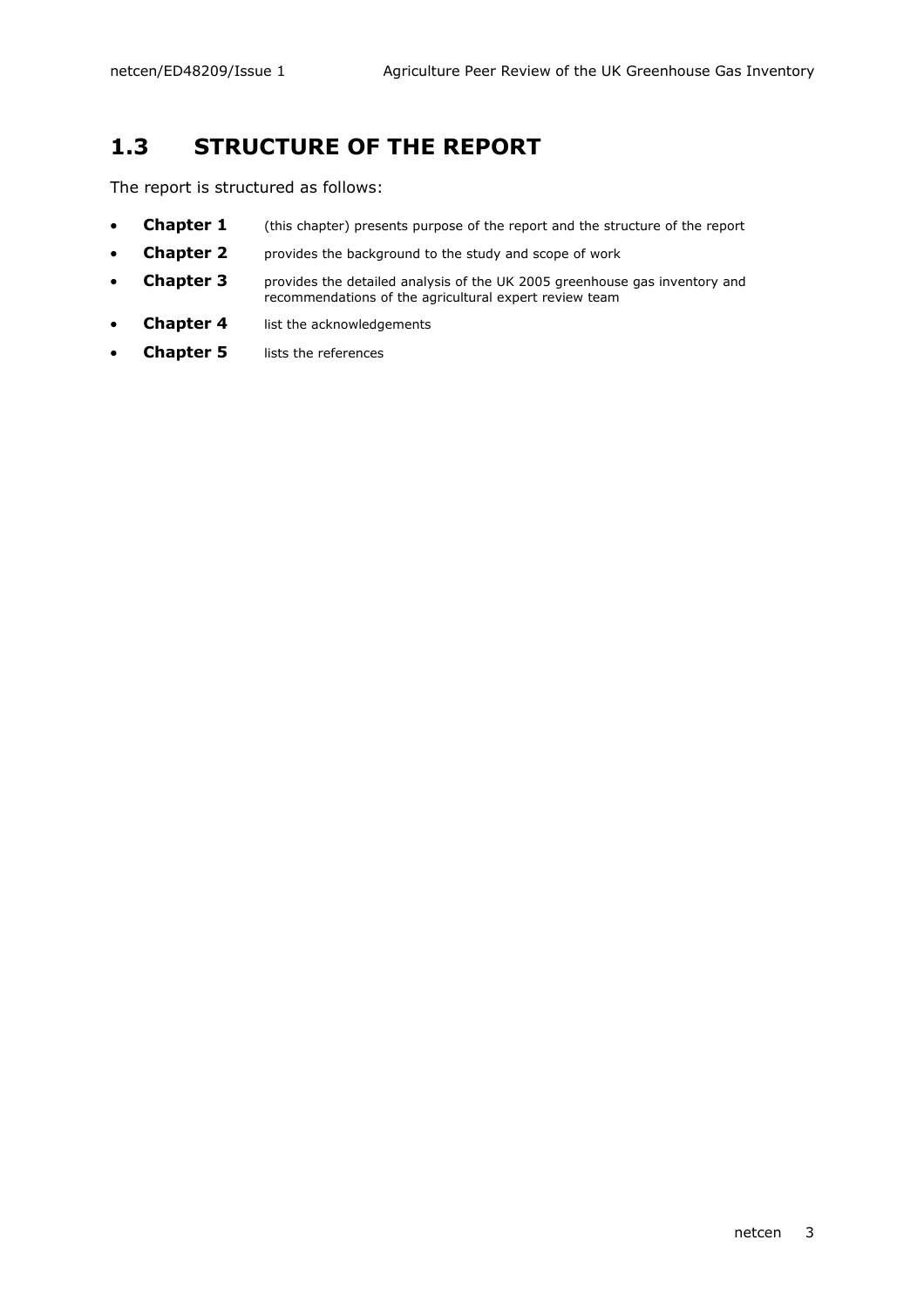## 1.3 STRUCTURE OF THE REPORT

The report is structured as follows:

- **Chapter 1** (this chapter) presents purpose of the report and the structure of the report
- **Chapter 2** provides the background to the study and scope of work
- **Chapter 3** provides the detailed analysis of the UK 2005 greenhouse gas inventory and recommendations of the agricultural expert review team
- **Chapter 4** list the acknowledgements
- **Chapter 5** lists the references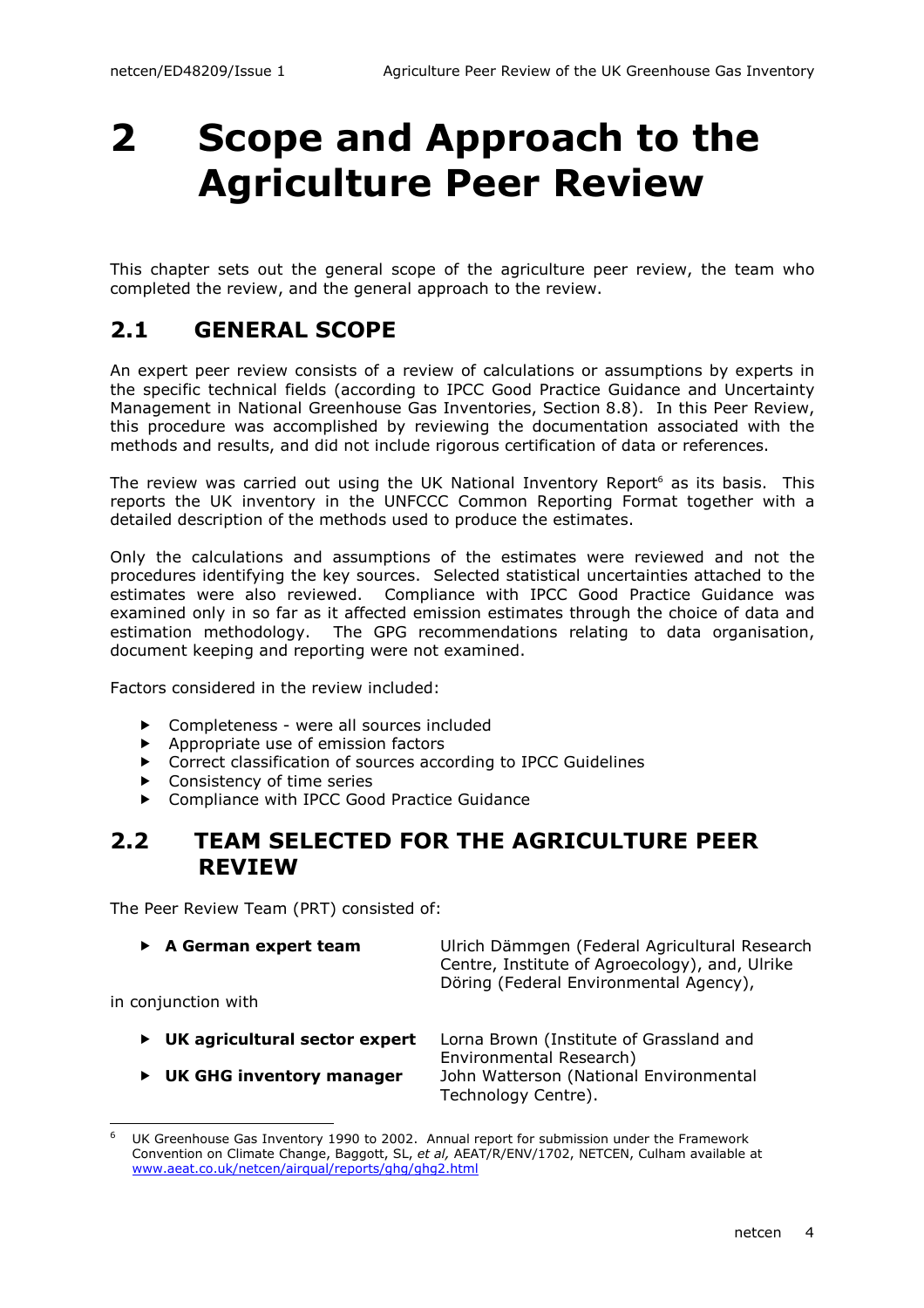# 2 Scope and Approach to the Agriculture Peer Review

This chapter sets out the general scope of the agriculture peer review, the team who completed the review, and the general approach to the review.

## 2.1 GENERAL SCOPE

An expert peer review consists of a review of calculations or assumptions by experts in the specific technical fields (according to IPCC Good Practice Guidance and Uncertainty Management in National Greenhouse Gas Inventories, Section 8.8). In this Peer Review, this procedure was accomplished by reviewing the documentation associated with the methods and results, and did not include rigorous certification of data or references.

The review was carried out using the UK National Inventory Report<sup>6</sup> as its basis. This reports the UK inventory in the UNFCCC Common Reporting Format together with a detailed description of the methods used to produce the estimates.

Only the calculations and assumptions of the estimates were reviewed and not the procedures identifying the key sources. Selected statistical uncertainties attached to the estimates were also reviewed. Compliance with IPCC Good Practice Guidance was examined only in so far as it affected emission estimates through the choice of data and estimation methodology. The GPG recommendations relating to data organisation, document keeping and reporting were not examined.

Factors considered in the review included:

- ▶ Completeness were all sources included
- $\blacktriangleright$  Appropriate use of emission factors
- ▶ Correct classification of sources according to IPCC Guidelines
- ▶ Consistency of time series
- ▶ Compliance with IPCC Good Practice Guidance

### 2.2 TEAM SELECTED FOR THE AGRICULTURE PEER REVIEW

The Peer Review Team (PRT) consisted of:

| $\triangleright$ A German expert team<br>in conjunction with | Ulrich Dämmgen (Federal Agricultural Research<br>Centre, Institute of Agroecology), and, Ulrike<br>Döring (Federal Environmental Agency), |  |
|--------------------------------------------------------------|-------------------------------------------------------------------------------------------------------------------------------------------|--|
| $\triangleright$ UK agricultural sector expert               | Lorna Brown (Institute of Grassland and<br>Environmental Research)                                                                        |  |

Technology Centre).

▶ UK GHG inventory manager John Watterson (National Environmental

6

UK Greenhouse Gas Inventory 1990 to 2002. Annual report for submission under the Framework Convention on Climate Change, Baggott, SL, et al, AEAT/R/ENV/1702, NETCEN, Culham available at www.aeat.co.uk/netcen/airqual/reports/ghg/ghg2.html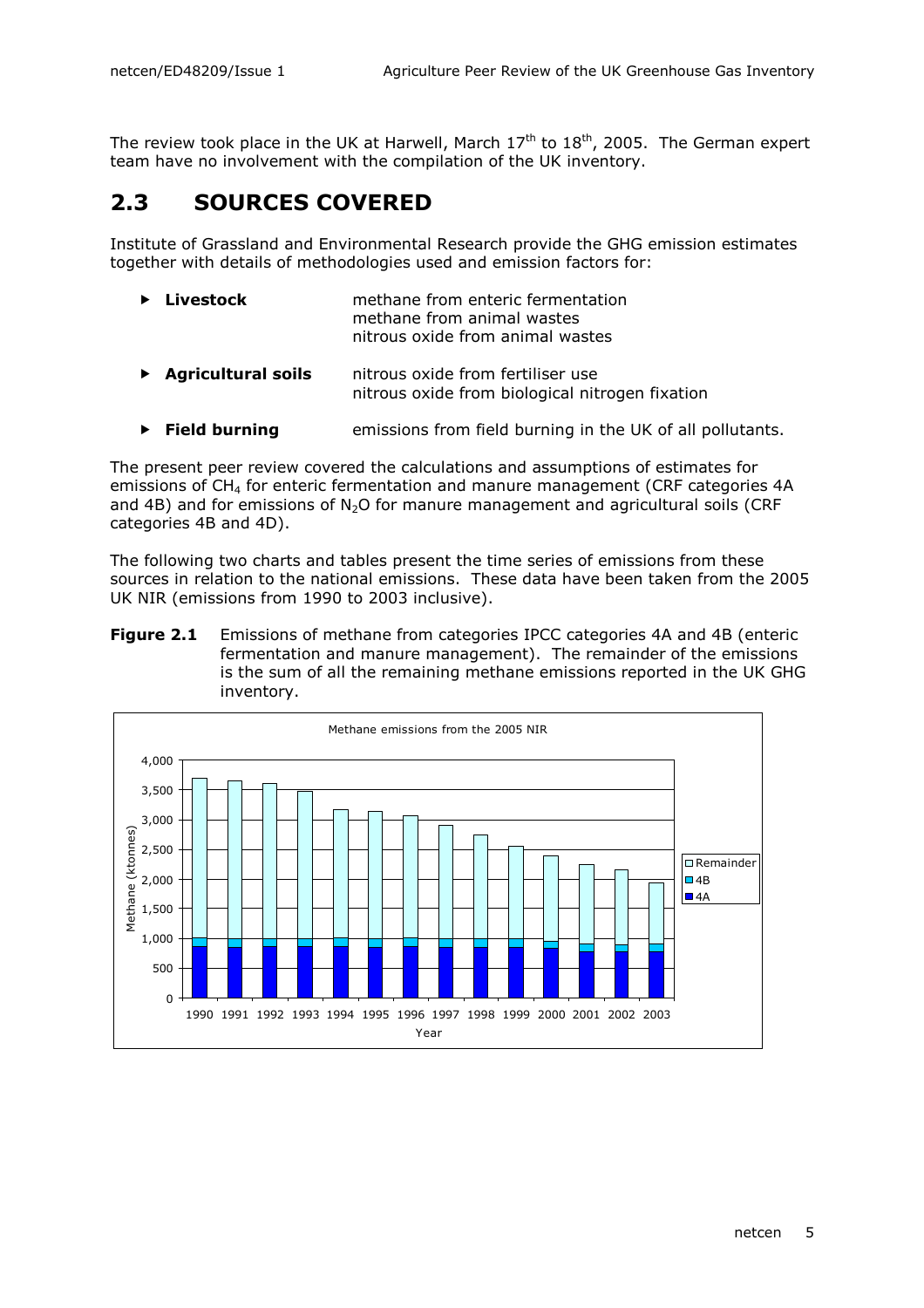The review took place in the UK at Harwell, March  $17<sup>th</sup>$  to  $18<sup>th</sup>$ , 2005. The German expert team have no involvement with the compilation of the UK inventory.

## 2.3 SOURCES COVERED

Institute of Grassland and Environmental Research provide the GHG emission estimates together with details of methodologies used and emission factors for:

| $\blacktriangleright$ Livestock | methane from enteric fermentation |
|---------------------------------|-----------------------------------|
|                                 | methane from animal wastes        |
|                                 | nitrous oxide from animal wastes  |

- ▶ Agricultural soils nitrous oxide from fertiliser use nitrous oxide from biological nitrogen fixation
- $\triangleright$  Field burning emissions from field burning in the UK of all pollutants.

The present peer review covered the calculations and assumptions of estimates for emissions of CH<sub>4</sub> for enteric fermentation and manure management (CRF categories 4A and 4B) and for emissions of  $N_2O$  for manure management and agricultural soils (CRF categories 4B and 4D).

The following two charts and tables present the time series of emissions from these sources in relation to the national emissions. These data have been taken from the 2005 UK NIR (emissions from 1990 to 2003 inclusive).

**Figure 2.1** Emissions of methane from categories IPCC categories 4A and 4B (enteric fermentation and manure management). The remainder of the emissions is the sum of all the remaining methane emissions reported in the UK GHG inventory.

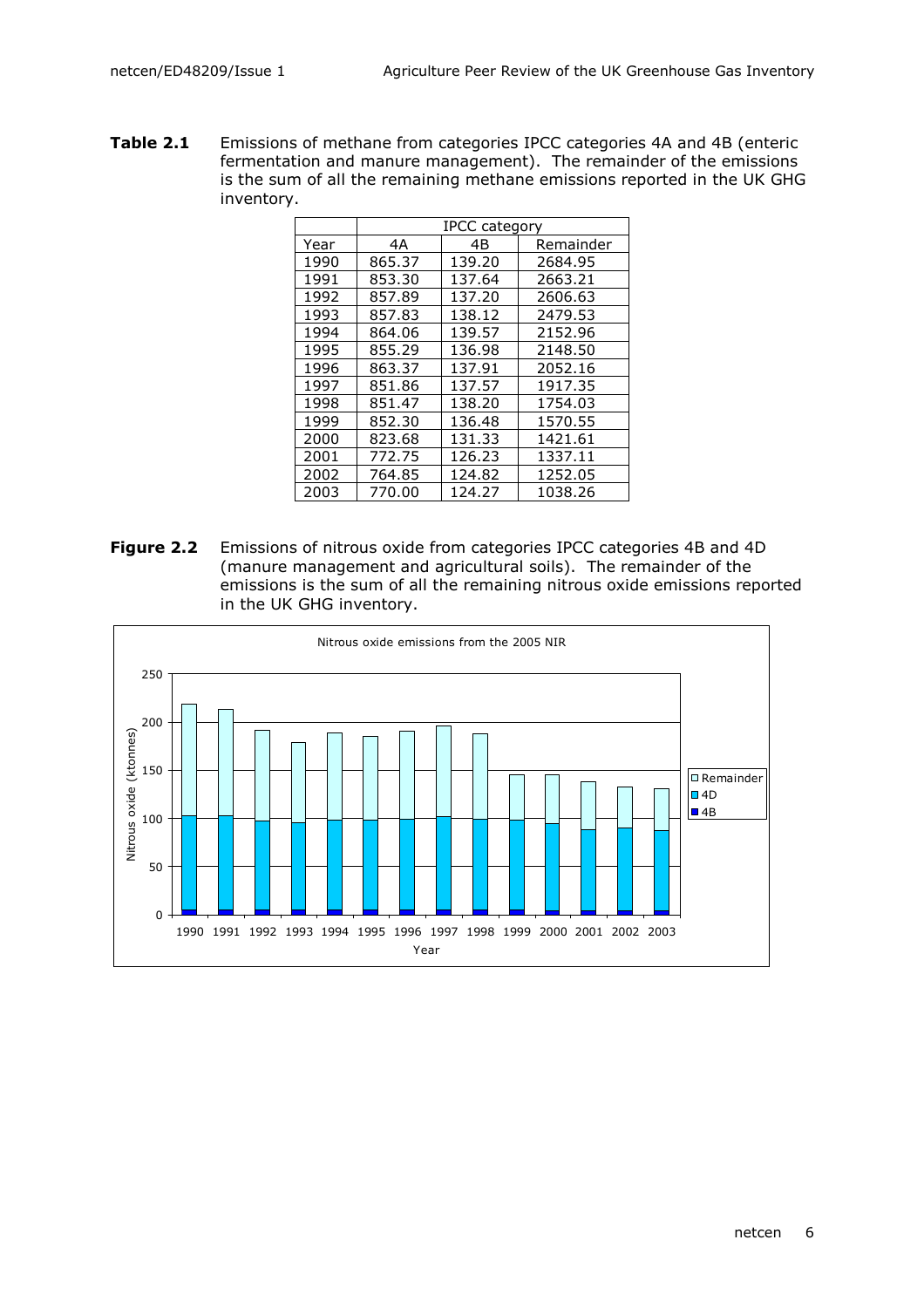Table 2.1 Emissions of methane from categories IPCC categories 4A and 4B (enteric fermentation and manure management). The remainder of the emissions is the sum of all the remaining methane emissions reported in the UK GHG inventory.

|      | <b>IPCC category</b> |        |           |
|------|----------------------|--------|-----------|
| Year | 4A                   | 4Β     | Remainder |
| 1990 | 865.37               | 139.20 | 2684.95   |
| 1991 | 853.30               | 137.64 | 2663.21   |
| 1992 | 857.89               | 137.20 | 2606.63   |
| 1993 | 857.83               | 138.12 | 2479.53   |
| 1994 | 864.06               | 139.57 | 2152.96   |
| 1995 | 855.29               | 136.98 | 2148.50   |
| 1996 | 863.37               | 137.91 | 2052.16   |
| 1997 | 851.86               | 137.57 | 1917.35   |
| 1998 | 851.47               | 138.20 | 1754.03   |
| 1999 | 852.30               | 136.48 | 1570.55   |
| 2000 | 823.68               | 131.33 | 1421.61   |
| 2001 | 772.75               | 126.23 | 1337.11   |
| 2002 | 764.85               | 124.82 | 1252.05   |
| 2003 | 770.00               | 124.27 | 1038.26   |

Figure 2.2 Emissions of nitrous oxide from categories IPCC categories 4B and 4D (manure management and agricultural soils). The remainder of the emissions is the sum of all the remaining nitrous oxide emissions reported in the UK GHG inventory.

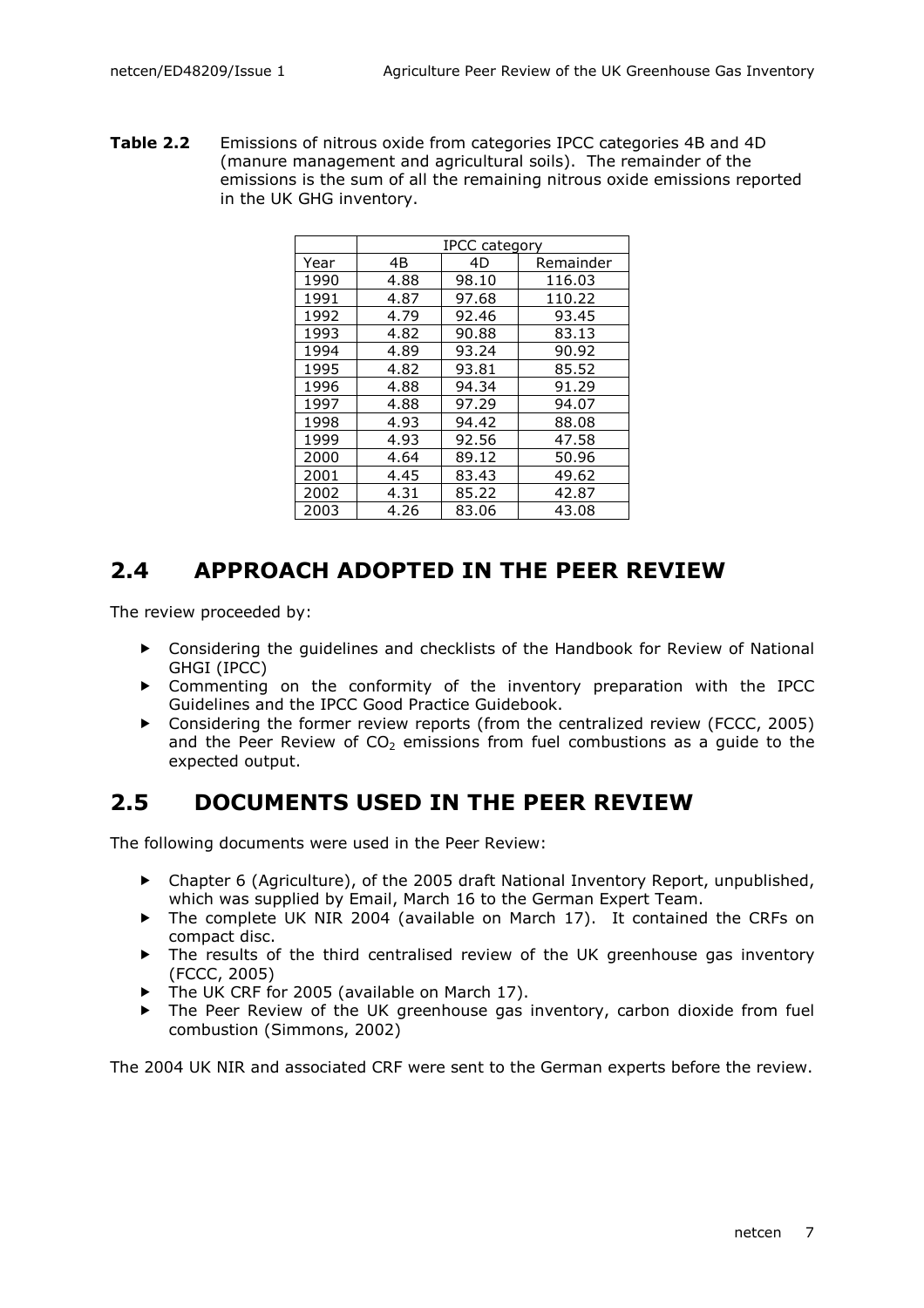Table 2.2 Emissions of nitrous oxide from categories IPCC categories 4B and 4D (manure management and agricultural soils). The remainder of the emissions is the sum of all the remaining nitrous oxide emissions reported in the UK GHG inventory.

|      | IPCC category |       |           |
|------|---------------|-------|-----------|
| Year | 4B            | 4D    | Remainder |
| 1990 | 4.88          | 98.10 | 116.03    |
| 1991 | 4.87          | 97.68 | 110.22    |
| 1992 | 4.79          | 92.46 | 93.45     |
| 1993 | 4.82          | 90.88 | 83.13     |
| 1994 | 4.89          | 93.24 | 90.92     |
| 1995 | 4.82          | 93.81 | 85.52     |
| 1996 | 4.88          | 94.34 | 91.29     |
| 1997 | 4.88          | 97.29 | 94.07     |
| 1998 | 4.93          | 94.42 | 88.08     |
| 1999 | 4.93          | 92.56 | 47.58     |
| 2000 | 4.64          | 89.12 | 50.96     |
| 2001 | 4.45          | 83.43 | 49.62     |
| 2002 | 4.31          | 85.22 | 42.87     |
| 2003 | 4.26          | 83.06 | 43.08     |

## 2.4 APPROACH ADOPTED IN THE PEER REVIEW

The review proceeded by:

- Considering the guidelines and checklists of the Handbook for Review of National GHGI (IPCC)
- Commenting on the conformity of the inventory preparation with the IPCC Guidelines and the IPCC Good Practice Guidebook.
- Considering the former review reports (from the centralized review (FCCC, 2005) and the Peer Review of  $CO<sub>2</sub>$  emissions from fuel combustions as a quide to the expected output.

## 2.5 DOCUMENTS USED IN THE PEER REVIEW

The following documents were used in the Peer Review:

- Chapter 6 (Agriculture), of the 2005 draft National Inventory Report, unpublished, which was supplied by Email, March 16 to the German Expert Team.
- ▶ The complete UK NIR 2004 (available on March 17). It contained the CRFs on compact disc.
- The results of the third centralised review of the UK greenhouse gas inventory (FCCC, 2005)
- ▶ The UK CRF for 2005 (available on March 17).
- The Peer Review of the UK greenhouse gas inventory, carbon dioxide from fuel combustion (Simmons, 2002)

The 2004 UK NIR and associated CRF were sent to the German experts before the review.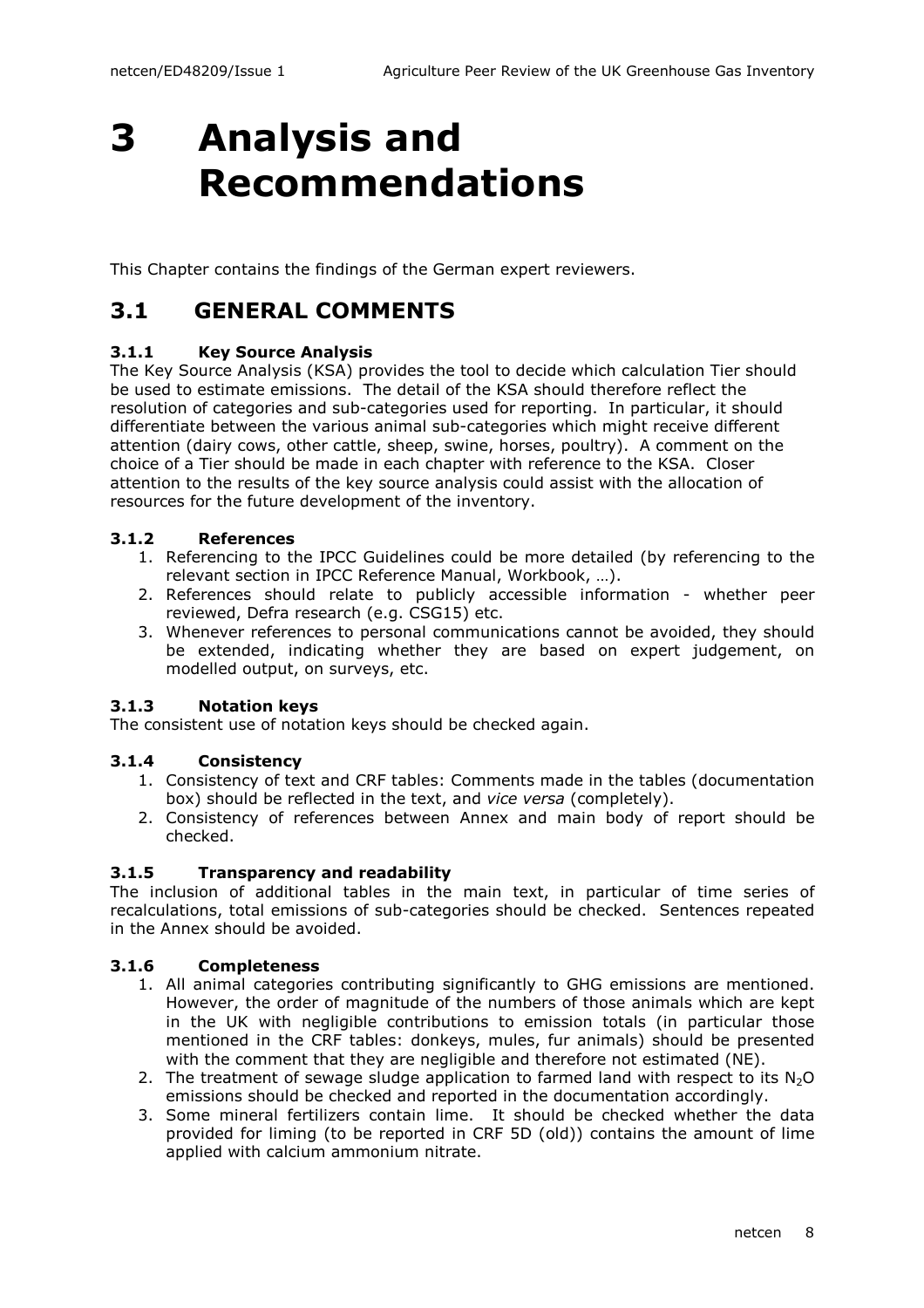# 3 Analysis and Recommendations

This Chapter contains the findings of the German expert reviewers.

## 3.1 GENERAL COMMENTS

#### 3.1.1 Key Source Analysis

The Key Source Analysis (KSA) provides the tool to decide which calculation Tier should be used to estimate emissions. The detail of the KSA should therefore reflect the resolution of categories and sub-categories used for reporting. In particular, it should differentiate between the various animal sub-categories which might receive different attention (dairy cows, other cattle, sheep, swine, horses, poultry). A comment on the choice of a Tier should be made in each chapter with reference to the KSA. Closer attention to the results of the key source analysis could assist with the allocation of resources for the future development of the inventory.

#### 3.1.2 References

- 1. Referencing to the IPCC Guidelines could be more detailed (by referencing to the relevant section in IPCC Reference Manual, Workbook, …).
- 2. References should relate to publicly accessible information whether peer reviewed, Defra research (e.g. CSG15) etc.
- 3. Whenever references to personal communications cannot be avoided, they should be extended, indicating whether they are based on expert judgement, on modelled output, on surveys, etc.

#### 3.1.3 Notation keys

The consistent use of notation keys should be checked again.

#### 3.1.4 Consistency

- 1. Consistency of text and CRF tables: Comments made in the tables (documentation box) should be reflected in the text, and vice versa (completely).
- 2. Consistency of references between Annex and main body of report should be checked.

#### 3.1.5 Transparency and readability

The inclusion of additional tables in the main text, in particular of time series of recalculations, total emissions of sub-categories should be checked. Sentences repeated in the Annex should be avoided.

#### 3.1.6 Completeness

- 1. All animal categories contributing significantly to GHG emissions are mentioned. However, the order of magnitude of the numbers of those animals which are kept in the UK with negligible contributions to emission totals (in particular those mentioned in the CRF tables: donkeys, mules, fur animals) should be presented with the comment that they are negligible and therefore not estimated (NE).
- 2. The treatment of sewage sludge application to farmed land with respect to its  $N_2O$ emissions should be checked and reported in the documentation accordingly.
- 3. Some mineral fertilizers contain lime. It should be checked whether the data provided for liming (to be reported in CRF 5D (old)) contains the amount of lime applied with calcium ammonium nitrate.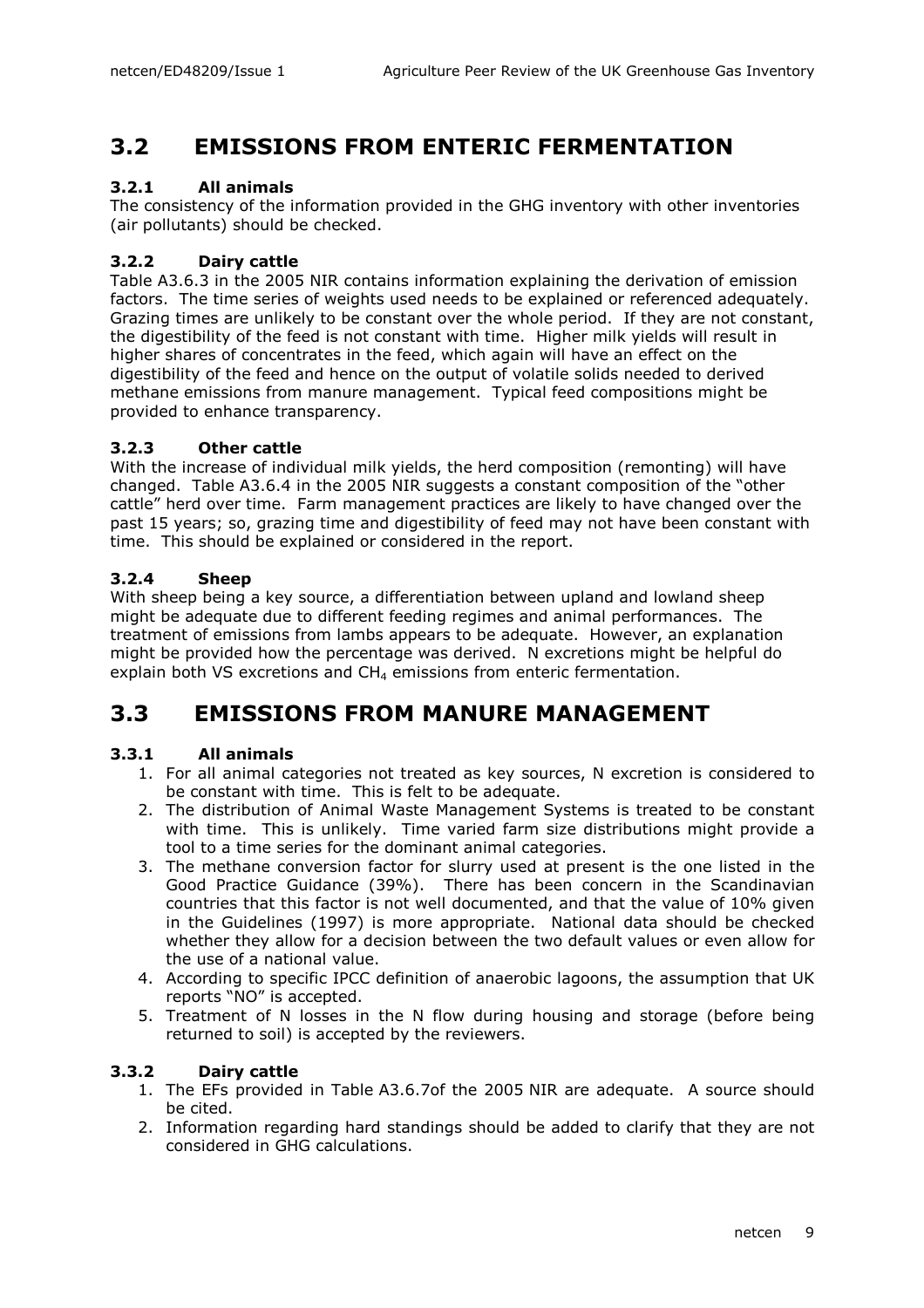## 3.2 EMISSIONS FROM ENTERIC FERMENTATION

#### 3.2.1 All animals

The consistency of the information provided in the GHG inventory with other inventories (air pollutants) should be checked.

#### 3.2.2 Dairy cattle

Table A3.6.3 in the 2005 NIR contains information explaining the derivation of emission factors. The time series of weights used needs to be explained or referenced adequately. Grazing times are unlikely to be constant over the whole period. If they are not constant, the digestibility of the feed is not constant with time. Higher milk yields will result in higher shares of concentrates in the feed, which again will have an effect on the digestibility of the feed and hence on the output of volatile solids needed to derived methane emissions from manure management. Typical feed compositions might be provided to enhance transparency.

#### 3.2.3 Other cattle

With the increase of individual milk yields, the herd composition (remonting) will have changed. Table A3.6.4 in the 2005 NIR suggests a constant composition of the "other cattle" herd over time. Farm management practices are likely to have changed over the past 15 years; so, grazing time and digestibility of feed may not have been constant with time. This should be explained or considered in the report.

#### 3.2.4 Sheep

With sheep being a key source, a differentiation between upland and lowland sheep might be adequate due to different feeding regimes and animal performances. The treatment of emissions from lambs appears to be adequate. However, an explanation might be provided how the percentage was derived. N excretions might be helpful do explain both VS excretions and  $CH<sub>4</sub>$  emissions from enteric fermentation.

### 3.3 EMISSIONS FROM MANURE MANAGEMENT

#### 3.3.1 All animals

- 1. For all animal categories not treated as key sources, N excretion is considered to be constant with time. This is felt to be adequate.
- 2. The distribution of Animal Waste Management Systems is treated to be constant with time. This is unlikely. Time varied farm size distributions might provide a tool to a time series for the dominant animal categories.
- 3. The methane conversion factor for slurry used at present is the one listed in the Good Practice Guidance (39%). There has been concern in the Scandinavian countries that this factor is not well documented, and that the value of 10% given in the Guidelines (1997) is more appropriate. National data should be checked whether they allow for a decision between the two default values or even allow for the use of a national value.
- 4. According to specific IPCC definition of anaerobic lagoons, the assumption that UK reports "NO" is accepted.
- 5. Treatment of N losses in the N flow during housing and storage (before being returned to soil) is accepted by the reviewers.

#### 3.3.2 Dairy cattle

- 1. The EFs provided in Table A3.6.7of the 2005 NIR are adequate. A source should be cited.
- 2. Information regarding hard standings should be added to clarify that they are not considered in GHG calculations.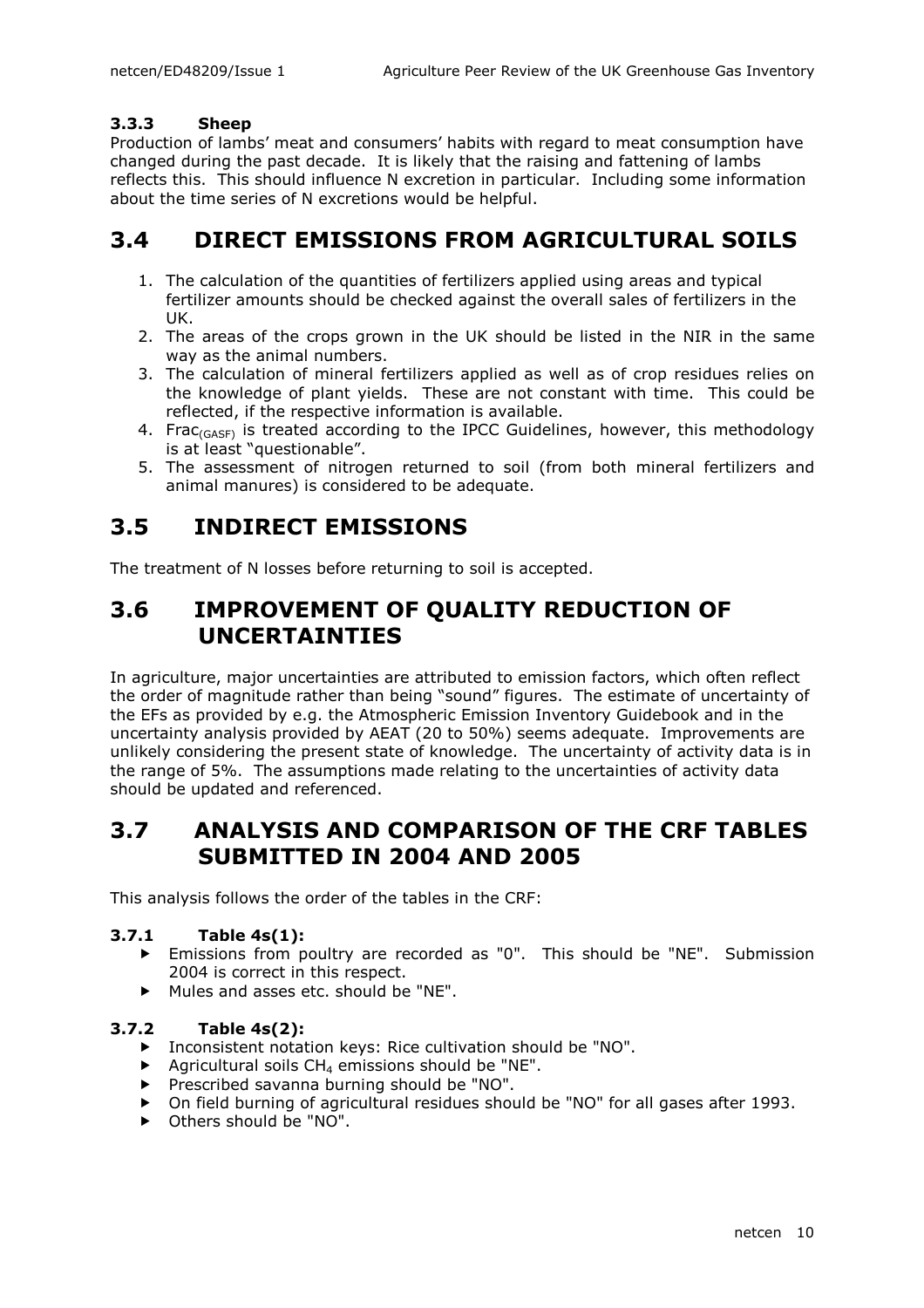#### 3.3.3 Sheep

Production of lambs' meat and consumers' habits with regard to meat consumption have changed during the past decade. It is likely that the raising and fattening of lambs reflects this. This should influence N excretion in particular. Including some information about the time series of N excretions would be helpful.

### 3.4 DIRECT EMISSIONS FROM AGRICULTURAL SOILS

- 1. The calculation of the quantities of fertilizers applied using areas and typical fertilizer amounts should be checked against the overall sales of fertilizers in the UK.
- 2. The areas of the crops grown in the UK should be listed in the NIR in the same way as the animal numbers.
- 3. The calculation of mineral fertilizers applied as well as of crop residues relies on the knowledge of plant yields. These are not constant with time. This could be reflected, if the respective information is available.
- 4. Frac $_{(GASP)}$  is treated according to the IPCC Guidelines, however, this methodology is at least "questionable".
- 5. The assessment of nitrogen returned to soil (from both mineral fertilizers and animal manures) is considered to be adequate.

### 3.5 INDIRECT EMISSIONS

The treatment of N losses before returning to soil is accepted.

## 3.6 IMPROVEMENT OF QUALITY REDUCTION OF UNCERTAINTIES

In agriculture, major uncertainties are attributed to emission factors, which often reflect the order of magnitude rather than being "sound" figures. The estimate of uncertainty of the EFs as provided by e.g. the Atmospheric Emission Inventory Guidebook and in the uncertainty analysis provided by AEAT (20 to 50%) seems adequate. Improvements are unlikely considering the present state of knowledge. The uncertainty of activity data is in the range of 5%. The assumptions made relating to the uncertainties of activity data should be updated and referenced.

### 3.7 ANALYSIS AND COMPARISON OF THE CRF TABLES SUBMITTED IN 2004 AND 2005

This analysis follows the order of the tables in the CRF:

#### 3.7.1 Table 4s(1):

- Emissions from poultry are recorded as "0". This should be "NE". Submission 2004 is correct in this respect.
- Mules and asses etc. should be "NE".

#### 3.7.2 Table 4s(2):

- Inconsistent notation keys: Rice cultivation should be "NO".
- Agricultural soils  $CH_4$  emissions should be "NE".
- Prescribed savanna burning should be "NO".
- On field burning of agricultural residues should be "NO" for all gases after 1993.
- ▶ Others should be "NO".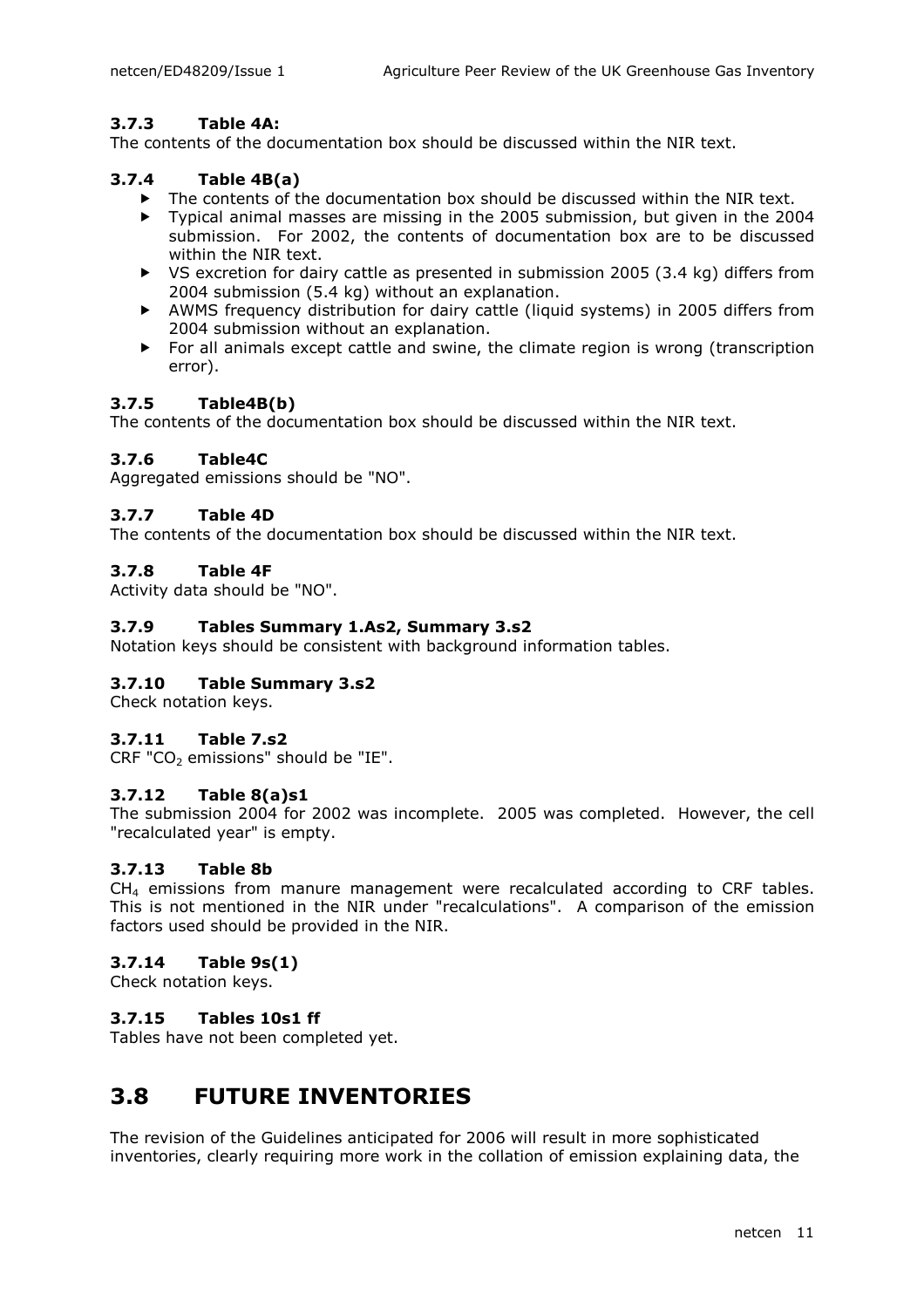#### 3.7.3 Table 4A:

The contents of the documentation box should be discussed within the NIR text.

#### 3.7.4 Table 4B(a)

- The contents of the documentation box should be discussed within the NIR text.<br>
Typical animal masses are missing in the 2005 submission, but given in the 2006
- Typical animal masses are missing in the 2005 submission, but given in the 2004 submission. For 2002, the contents of documentation box are to be discussed within the NIR text.
- $\triangleright$  VS excretion for dairy cattle as presented in submission 2005 (3.4 kg) differs from 2004 submission (5.4 kg) without an explanation.
- AWMS frequency distribution for dairy cattle (liquid systems) in 2005 differs from 2004 submission without an explanation.
- For all animals except cattle and swine, the climate region is wrong (transcription error).

#### 3.7.5 Table4B(b)

The contents of the documentation box should be discussed within the NIR text.

#### 3.7.6 Table4C

Aggregated emissions should be "NO".

#### 3.7.7 Table 4D

The contents of the documentation box should be discussed within the NIR text.

#### 3.7.8 Table 4F

Activity data should be "NO".

#### 3.7.9 Tables Summary 1.As2, Summary 3.s2

Notation keys should be consistent with background information tables.

#### 3.7.10 Table Summary 3.s2

Check notation keys.

#### 3.7.11 Table 7.s2

 $CRF "CO<sub>2</sub>$  emissions" should be "IE".

#### 3.7.12 Table 8(a)s1

The submission 2004 for 2002 was incomplete. 2005 was completed. However, the cell "recalculated year" is empty.

#### 3.7.13 Table 8b

CH4 emissions from manure management were recalculated according to CRF tables. This is not mentioned in the NIR under "recalculations". A comparison of the emission factors used should be provided in the NIR.

#### 3.7.14 Table 9s(1)

Check notation keys.

#### 3.7.15 Tables 10s1 ff

Tables have not been completed yet.

### 3.8 FUTURE INVENTORIES

The revision of the Guidelines anticipated for 2006 will result in more sophisticated inventories, clearly requiring more work in the collation of emission explaining data, the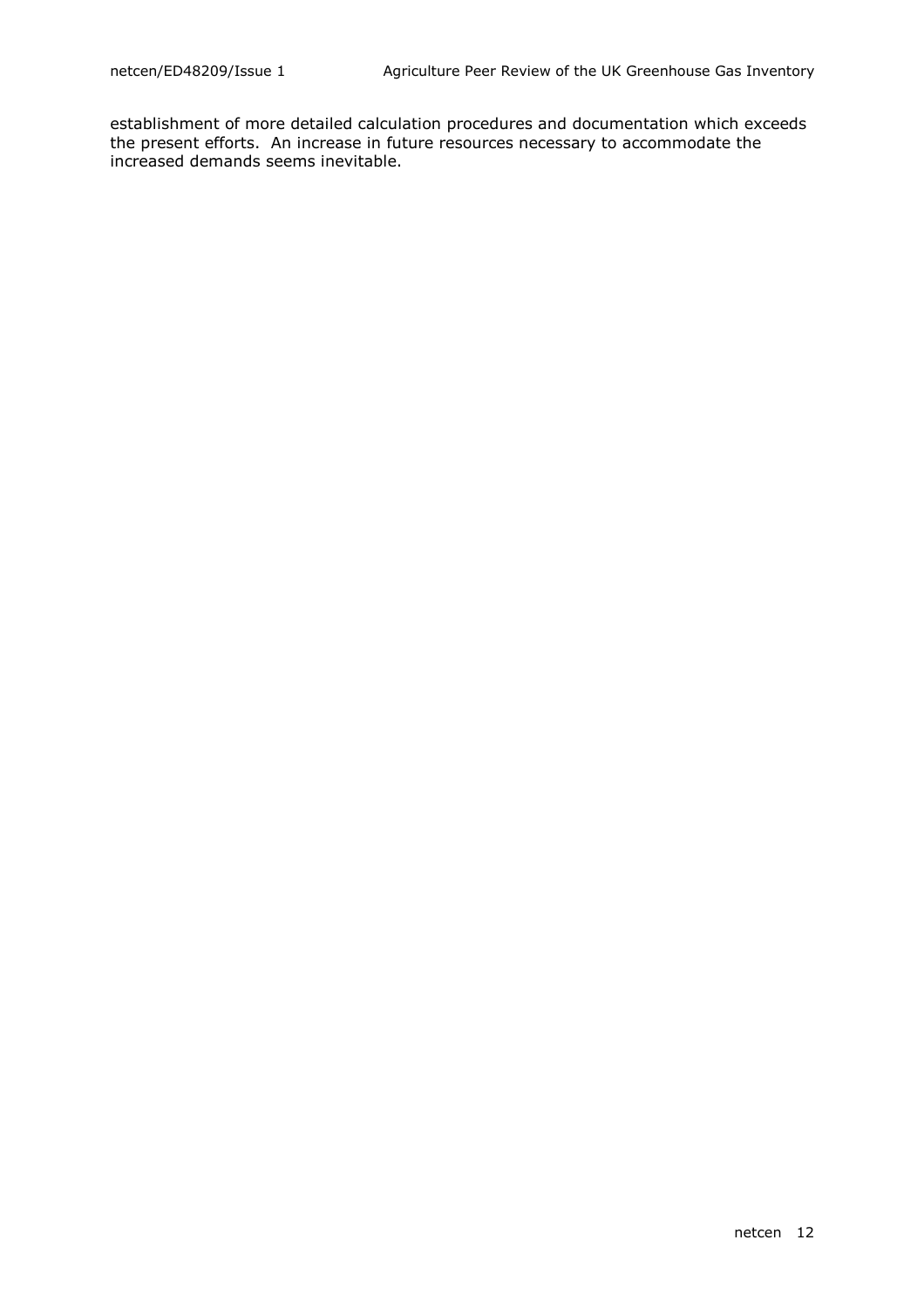establishment of more detailed calculation procedures and documentation which exceeds the present efforts. An increase in future resources necessary to accommodate the increased demands seems inevitable.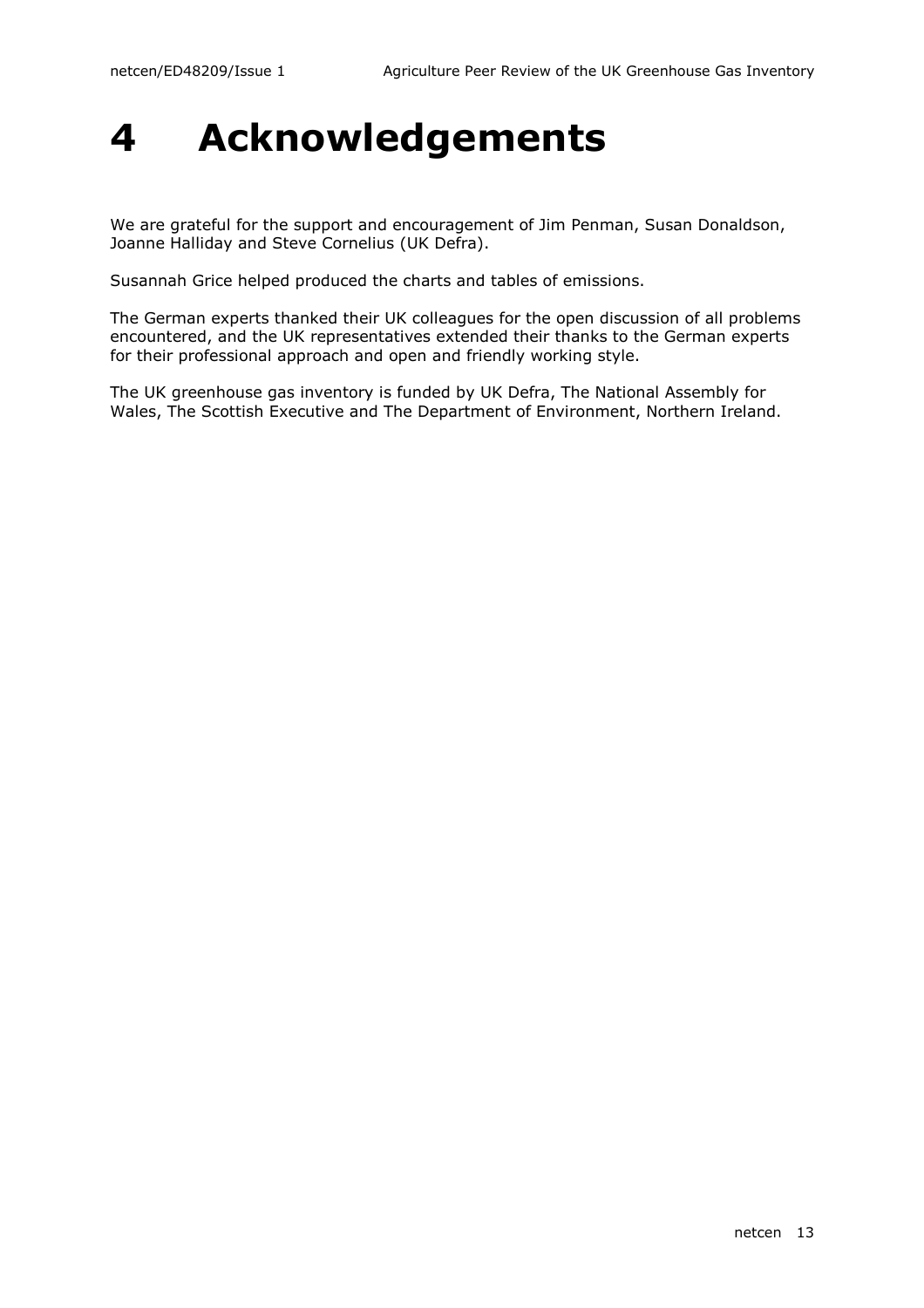# 4 Acknowledgements

We are grateful for the support and encouragement of Jim Penman, Susan Donaldson, Joanne Halliday and Steve Cornelius (UK Defra).

Susannah Grice helped produced the charts and tables of emissions.

The German experts thanked their UK colleagues for the open discussion of all problems encountered, and the UK representatives extended their thanks to the German experts for their professional approach and open and friendly working style.

The UK greenhouse gas inventory is funded by UK Defra, The National Assembly for Wales, The Scottish Executive and The Department of Environment, Northern Ireland.